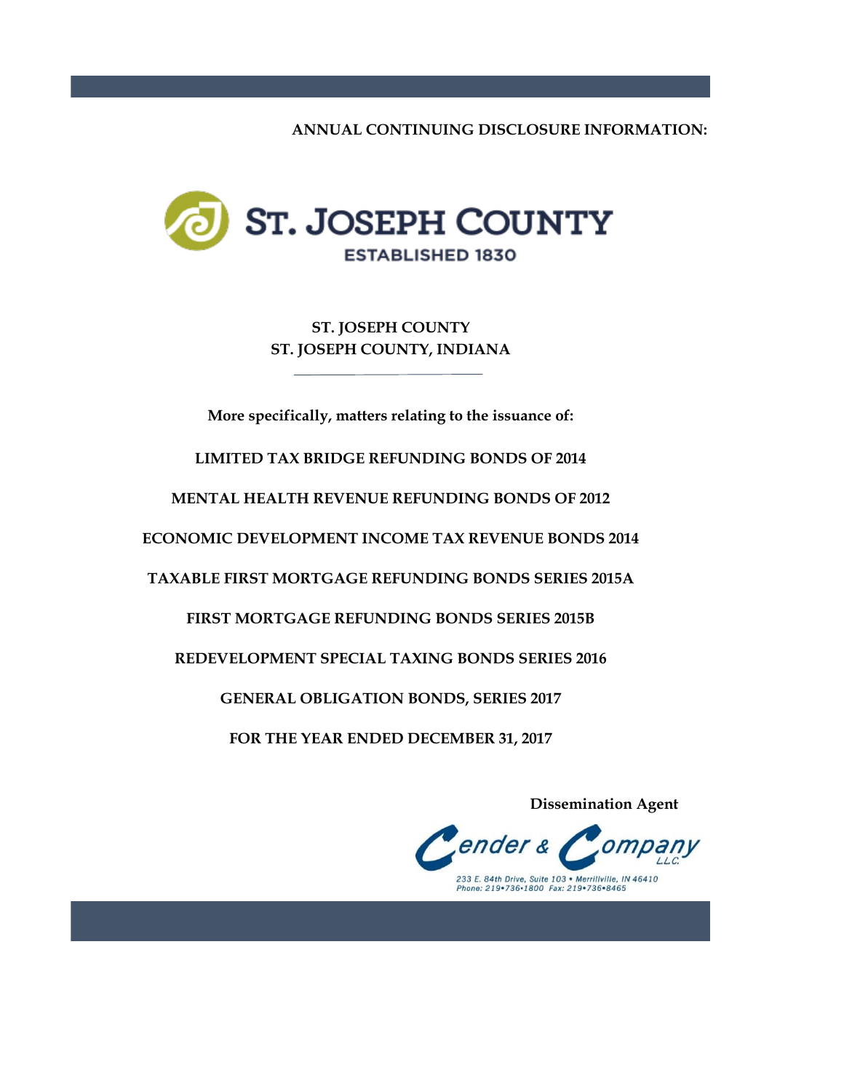**ANNUAL CONTINUING DISCLOSURE INFORMATION:**



**ST. JOSEPH COUNTY, INDIANA ST. JOSEPH COUNTY**

**More specifically, matters relating to the issuance of:**

**LIMITED TAX BRIDGE REFUNDING BONDS OF 2014**

**MENTAL HEALTH REVENUE REFUNDING BONDS OF 2012**

**ECONOMIC DEVELOPMENT INCOME TAX REVENUE BONDS 2014**

**TAXABLE FIRST MORTGAGE REFUNDING BONDS SERIES 2015A**

**FIRST MORTGAGE REFUNDING BONDS SERIES 2015B**

**REDEVELOPMENT SPECIAL TAXING BONDS SERIES 2016**

**GENERAL OBLIGATION BONDS, SERIES 2017**

**FOR THE YEAR ENDED DECEMBER 31, 2017**

 **Dissemination Agent**

ender & 233 E. 84th Drive, Suite 103 • Merrillville, IN 46410<br>Phone: 219•736•1800 Fax: 219•736•8465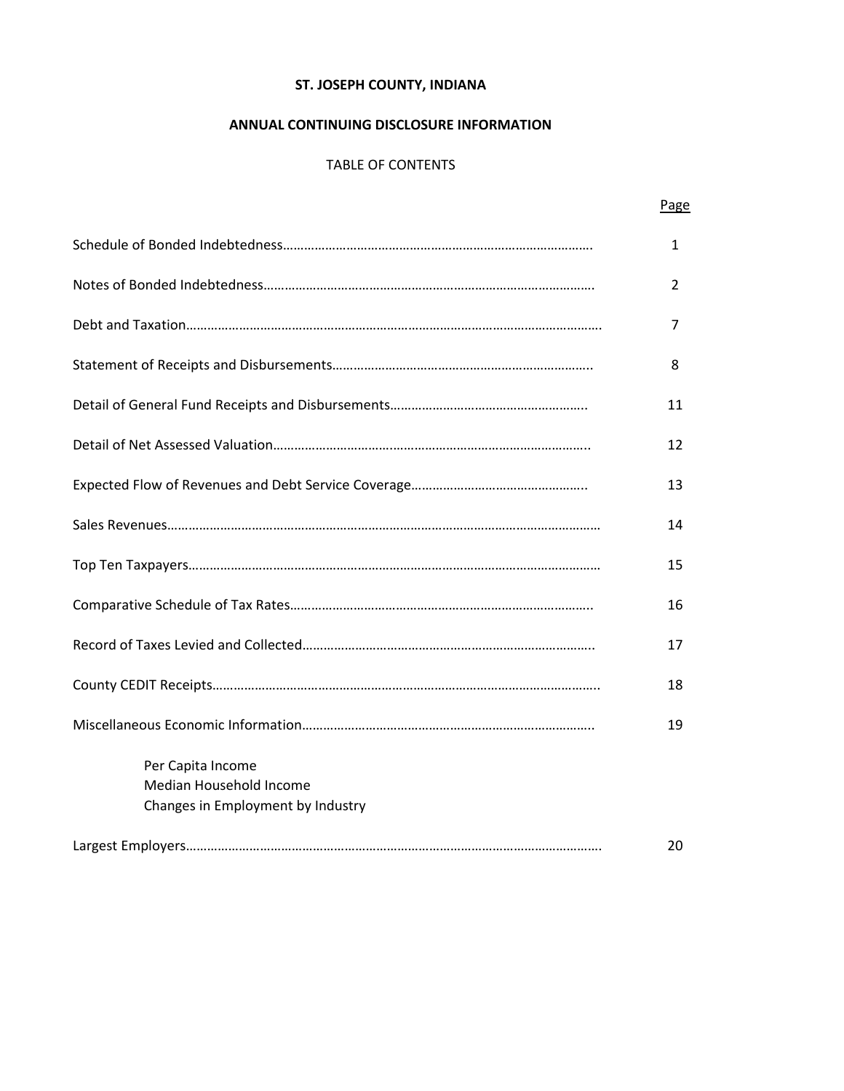# **ANNUAL CONTINUING DISCLOSURE INFORMATION**

# TABLE OF CONTENTS

Page

|                                                                                   | 1  |
|-----------------------------------------------------------------------------------|----|
|                                                                                   | 2  |
|                                                                                   | 7  |
|                                                                                   | 8  |
|                                                                                   | 11 |
|                                                                                   | 12 |
|                                                                                   | 13 |
|                                                                                   | 14 |
|                                                                                   | 15 |
|                                                                                   | 16 |
|                                                                                   | 17 |
|                                                                                   | 18 |
|                                                                                   | 19 |
| Per Capita Income<br>Median Household Income<br>Changes in Employment by Industry |    |
|                                                                                   | 20 |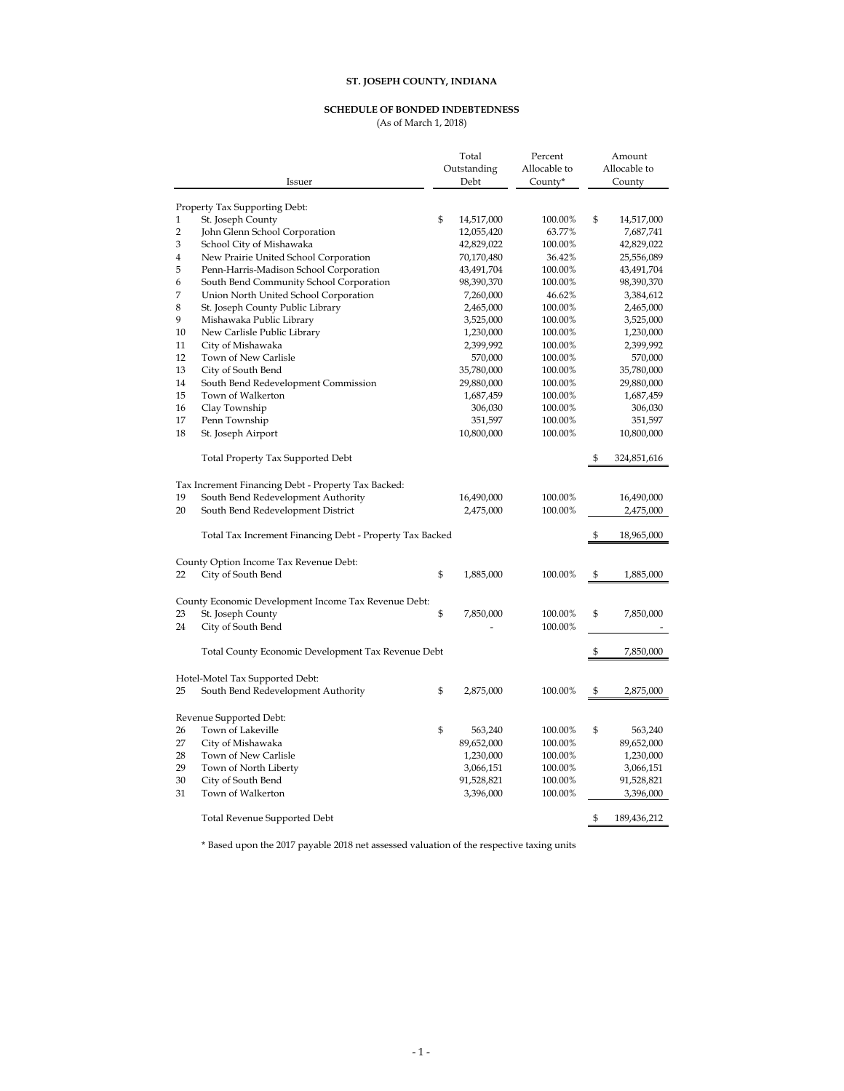#### **SCHEDULE OF BONDED INDEBTEDNESS**

(As of March 1, 2018)

|                | Issuer                                                   | Total<br>Outstanding<br>Debt | Percent<br>Allocable to<br>County* | Amount<br>Allocable to<br>County |
|----------------|----------------------------------------------------------|------------------------------|------------------------------------|----------------------------------|
|                | Property Tax Supporting Debt:                            |                              |                                    |                                  |
| $\mathbf{1}$   | St. Joseph County                                        | \$<br>14,517,000             | 100.00%                            | \$<br>14,517,000                 |
| $\overline{2}$ | John Glenn School Corporation                            | 12,055,420                   | 63.77%                             | 7,687,741                        |
| 3              | School City of Mishawaka                                 | 42,829,022                   | 100.00%                            | 42,829,022                       |
| 4              | New Prairie United School Corporation                    | 70,170,480                   | 36.42%                             | 25,556,089                       |
| 5              | Penn-Harris-Madison School Corporation                   | 43,491,704                   | 100.00%                            | 43,491,704                       |
| 6              | South Bend Community School Corporation                  | 98,390,370                   | 100.00%                            | 98,390,370                       |
| 7              | Union North United School Corporation                    | 7,260,000                    | 46.62%                             | 3,384,612                        |
| 8              | St. Joseph County Public Library                         | 2,465,000                    | 100.00%                            | 2,465,000                        |
| 9              | Mishawaka Public Library                                 | 3,525,000                    | 100.00%                            | 3,525,000                        |
| 10             | New Carlisle Public Library                              | 1,230,000                    | 100.00%                            | 1,230,000                        |
| 11             | City of Mishawaka                                        | 2,399,992                    | 100.00%                            | 2,399,992                        |
| 12             | Town of New Carlisle                                     | 570,000                      | 100.00%                            | 570,000                          |
| 13             | City of South Bend                                       | 35,780,000                   | 100.00%                            | 35,780,000                       |
| 14             | South Bend Redevelopment Commission                      | 29,880,000                   | 100.00%                            | 29,880,000                       |
| 15             | Town of Walkerton                                        | 1,687,459                    | 100.00%                            | 1,687,459                        |
| 16             | Clay Township                                            | 306,030                      | 100.00%                            | 306,030                          |
| 17             | Penn Township                                            | 351,597                      | 100.00%                            | 351,597                          |
| 18             | St. Joseph Airport                                       | 10,800,000                   | 100.00%                            | 10,800,000                       |
|                | Total Property Tax Supported Debt                        |                              |                                    | \$<br>324,851,616                |
|                |                                                          |                              |                                    |                                  |
|                | Tax Increment Financing Debt - Property Tax Backed:      |                              |                                    |                                  |
| 19             | South Bend Redevelopment Authority                       | 16,490,000                   | 100.00%                            | 16,490,000                       |
| 20             | South Bend Redevelopment District                        | 2,475,000                    | 100.00%                            | 2,475,000                        |
|                | Total Tax Increment Financing Debt - Property Tax Backed |                              |                                    | \$<br>18,965,000                 |
|                | County Option Income Tax Revenue Debt:                   |                              |                                    |                                  |
| 22             | City of South Bend                                       | \$<br>1,885,000              | 100.00%                            | \$<br>1,885,000                  |
|                | County Economic Development Income Tax Revenue Debt:     |                              |                                    |                                  |
| 23             | St. Joseph County                                        | \$<br>7,850,000              | 100.00%                            | \$<br>7,850,000                  |
| 24             | City of South Bend                                       |                              | 100.00%                            |                                  |
|                | Total County Economic Development Tax Revenue Debt       |                              |                                    | \$<br>7,850,000                  |
|                | Hotel-Motel Tax Supported Debt:                          |                              |                                    |                                  |
| 25             | South Bend Redevelopment Authority                       | \$<br>2,875,000              | 100.00%                            | \$<br>2,875,000                  |
|                |                                                          |                              |                                    |                                  |
|                | Revenue Supported Debt:                                  |                              |                                    |                                  |
| 26<br>27       | Town of Lakeville                                        | \$<br>563,240                | 100.00%                            | \$<br>563,240                    |
|                | City of Mishawaka<br>Town of New Carlisle                | 89,652,000                   | 100.00%                            | 89,652,000                       |
| 28<br>29       |                                                          | 1,230,000                    | 100.00%                            | 1,230,000                        |
| 30             | Town of North Liberty<br>City of South Bend              | 3,066,151                    | 100.00%                            | 3,066,151                        |
| 31             | Town of Walkerton                                        | 91,528,821                   | 100.00%<br>100.00%                 | 91,528,821                       |
|                |                                                          | 3,396,000                    |                                    | 3,396,000                        |
|                | <b>Total Revenue Supported Debt</b>                      |                              |                                    | \$<br>189,436,212                |

\* Based upon the 2017 payable 2018 net assessed valuation of the respective taxing units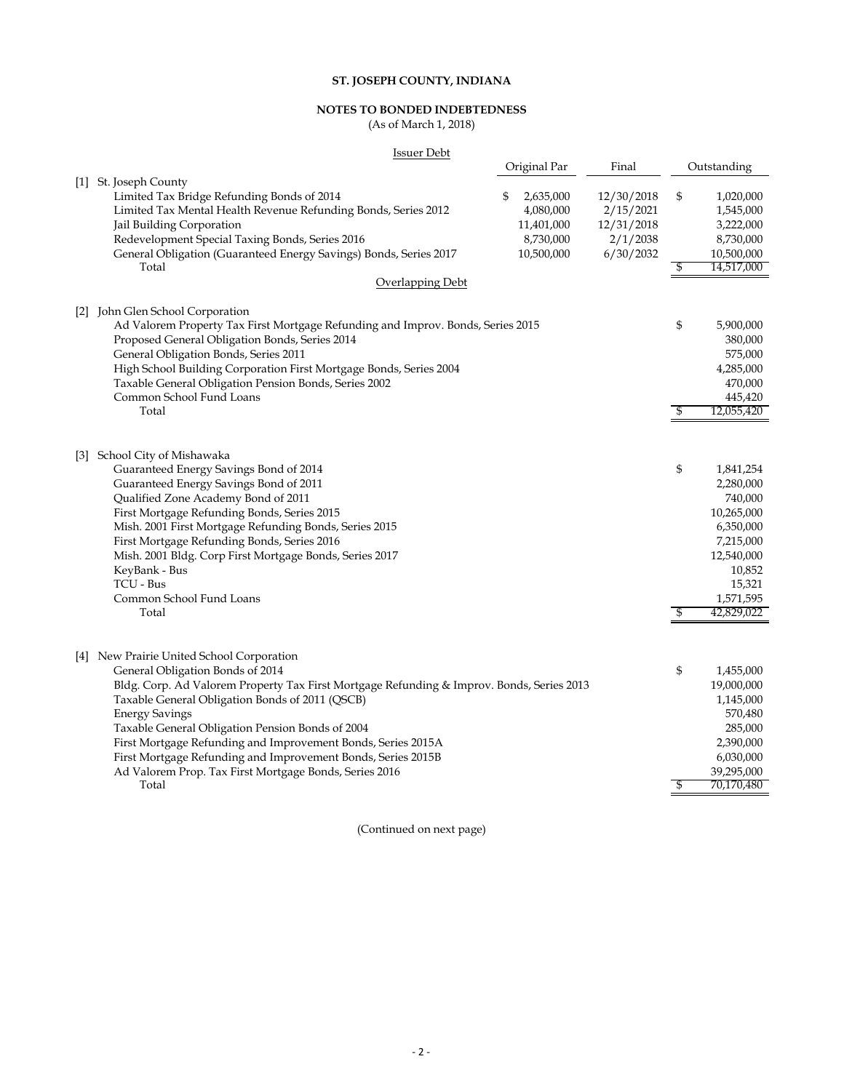#### **NOTES TO BONDED INDEBTEDNESS**

(As of March 1, 2018)

| <b>Issuer Debt</b>                                                                                                                                                                                                                                                                                                                                                                                                                                                                                            |                                                                       |                                                                |          |                                                                                                                                        |
|---------------------------------------------------------------------------------------------------------------------------------------------------------------------------------------------------------------------------------------------------------------------------------------------------------------------------------------------------------------------------------------------------------------------------------------------------------------------------------------------------------------|-----------------------------------------------------------------------|----------------------------------------------------------------|----------|----------------------------------------------------------------------------------------------------------------------------------------|
|                                                                                                                                                                                                                                                                                                                                                                                                                                                                                                               | Original Par                                                          | Final                                                          |          | Outstanding                                                                                                                            |
| [1] St. Joseph County<br>Limited Tax Bridge Refunding Bonds of 2014<br>Limited Tax Mental Health Revenue Refunding Bonds, Series 2012<br>Jail Building Corporation<br>Redevelopment Special Taxing Bonds, Series 2016<br>General Obligation (Guaranteed Energy Savings) Bonds, Series 2017<br>Total<br>Overlapping Debt                                                                                                                                                                                       | \$<br>2,635,000<br>4,080,000<br>11,401,000<br>8,730,000<br>10,500,000 | 12/30/2018<br>2/15/2021<br>12/31/2018<br>2/1/2038<br>6/30/2032 | \$<br>\$ | 1,020,000<br>1,545,000<br>3,222,000<br>8,730,000<br>10,500,000<br>14,517,000                                                           |
| [2] John Glen School Corporation                                                                                                                                                                                                                                                                                                                                                                                                                                                                              |                                                                       |                                                                |          |                                                                                                                                        |
| Ad Valorem Property Tax First Mortgage Refunding and Improv. Bonds, Series 2015<br>Proposed General Obligation Bonds, Series 2014<br>General Obligation Bonds, Series 2011<br>High School Building Corporation First Mortgage Bonds, Series 2004<br>Taxable General Obligation Pension Bonds, Series 2002<br>Common School Fund Loans<br>Total                                                                                                                                                                |                                                                       |                                                                | \$<br>\$ | 5,900,000<br>380,000<br>575,000<br>4,285,000<br>470,000<br>445,420<br>12,055,420                                                       |
| [3] School City of Mishawaka<br>Guaranteed Energy Savings Bond of 2014<br>Guaranteed Energy Savings Bond of 2011<br>Qualified Zone Academy Bond of 2011<br>First Mortgage Refunding Bonds, Series 2015<br>Mish. 2001 First Mortgage Refunding Bonds, Series 2015<br>First Mortgage Refunding Bonds, Series 2016<br>Mish. 2001 Bldg. Corp First Mortgage Bonds, Series 2017<br>KeyBank - Bus<br>TCU - Bus<br>Common School Fund Loans<br>Total                                                                 |                                                                       |                                                                | \$<br>\$ | 1,841,254<br>2,280,000<br>740,000<br>10,265,000<br>6,350,000<br>7,215,000<br>12,540,000<br>10,852<br>15,321<br>1,571,595<br>42,829,022 |
| [4] New Prairie United School Corporation<br>General Obligation Bonds of 2014<br>Bldg. Corp. Ad Valorem Property Tax First Mortgage Refunding & Improv. Bonds, Series 2013<br>Taxable General Obligation Bonds of 2011 (QSCB)<br><b>Energy Savings</b><br>Taxable General Obligation Pension Bonds of 2004<br>First Mortgage Refunding and Improvement Bonds, Series 2015A<br>First Mortgage Refunding and Improvement Bonds, Series 2015B<br>Ad Valorem Prop. Tax First Mortgage Bonds, Series 2016<br>Total |                                                                       |                                                                | \$<br>\$ | 1,455,000<br>19,000,000<br>1,145,000<br>570,480<br>285,000<br>2,390,000<br>6,030,000<br>39,295,000<br>70,170,480                       |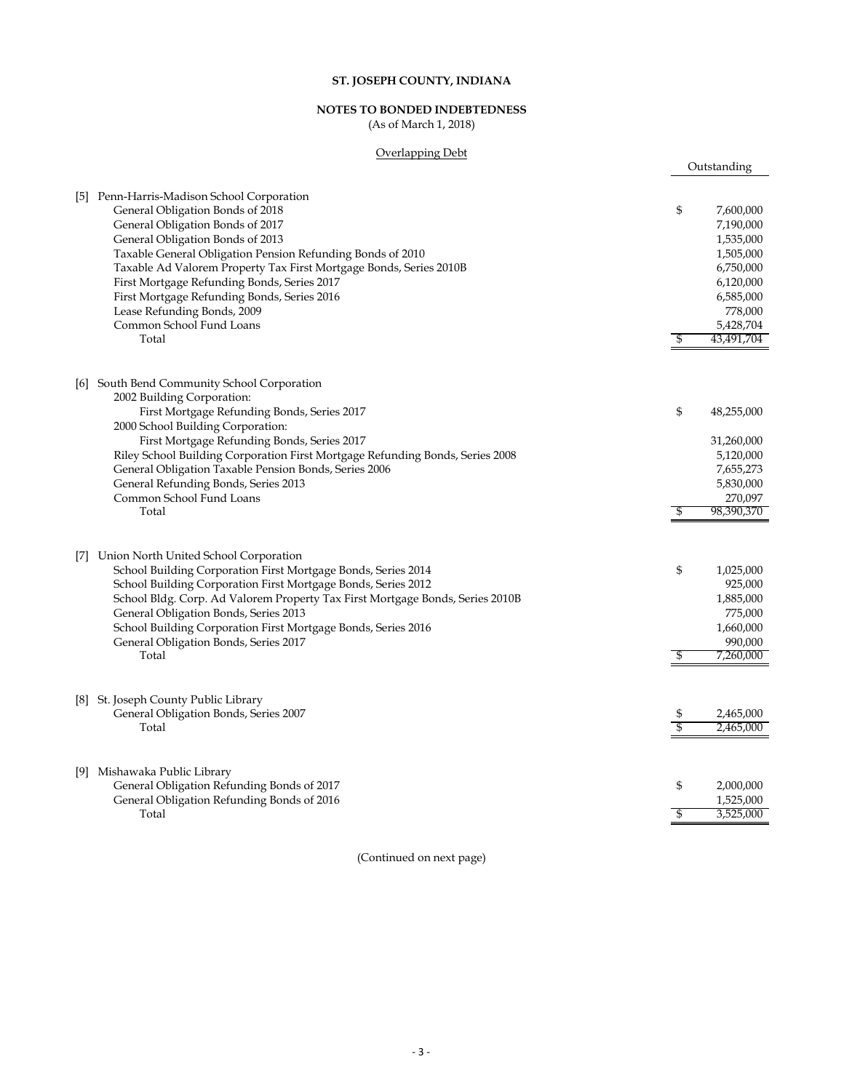# **NOTES TO BONDED INDEBTEDNESS**

(As of March 1, 2018)

#### Overlapping Debt

Outstanding

|     | [5] Penn-Harris-Madison School Corporation<br>General Obligation Bonds of 2018<br>General Obligation Bonds of 2017<br>General Obligation Bonds of 2013<br>Taxable General Obligation Pension Refunding Bonds of 2010<br>Taxable Ad Valorem Property Tax First Mortgage Bonds, Series 2010B<br>First Mortgage Refunding Bonds, Series 2017<br>First Mortgage Refunding Bonds, Series 2016<br>Lease Refunding Bonds, 2009<br>Common School Fund Loans<br>Total | \$<br>\$ | 7,600,000<br>7,190,000<br>1,535,000<br>1,505,000<br>6,750,000<br>6,120,000<br>6,585,000<br>778,000<br>5,428,704<br>43,491,704 |
|-----|--------------------------------------------------------------------------------------------------------------------------------------------------------------------------------------------------------------------------------------------------------------------------------------------------------------------------------------------------------------------------------------------------------------------------------------------------------------|----------|-------------------------------------------------------------------------------------------------------------------------------|
|     | [6] South Bend Community School Corporation<br>2002 Building Corporation:<br>First Mortgage Refunding Bonds, Series 2017<br>2000 School Building Corporation:<br>First Mortgage Refunding Bonds, Series 2017<br>Riley School Building Corporation First Mortgage Refunding Bonds, Series 2008<br>General Obligation Taxable Pension Bonds, Series 2006<br>General Refunding Bonds, Series 2013<br>Common School Fund Loans<br>Total                          | \$<br>\$ | 48,255,000<br>31,260,000<br>5,120,000<br>7,655,273<br>5,830,000<br>270,097<br>98,390,370                                      |
| [7] | Union North United School Corporation<br>School Building Corporation First Mortgage Bonds, Series 2014<br>School Building Corporation First Mortgage Bonds, Series 2012<br>School Bldg. Corp. Ad Valorem Property Tax First Mortgage Bonds, Series 2010B<br>General Obligation Bonds, Series 2013<br>School Building Corporation First Mortgage Bonds, Series 2016<br>General Obligation Bonds, Series 2017<br>Total                                         | \$<br>\$ | 1,025,000<br>925,000<br>1,885,000<br>775,000<br>1,660,000<br>990,000<br>7,260,000                                             |
|     | [8] St. Joseph County Public Library<br>General Obligation Bonds, Series 2007<br>Total                                                                                                                                                                                                                                                                                                                                                                       | \$<br>\$ | 2,465,000<br>2,465,000                                                                                                        |
|     | [9] Mishawaka Public Library<br>General Obligation Refunding Bonds of 2017<br>General Obligation Refunding Bonds of 2016<br>Total                                                                                                                                                                                                                                                                                                                            | \$<br>\$ | 2,000,000<br>1,525,000<br>3,525,000                                                                                           |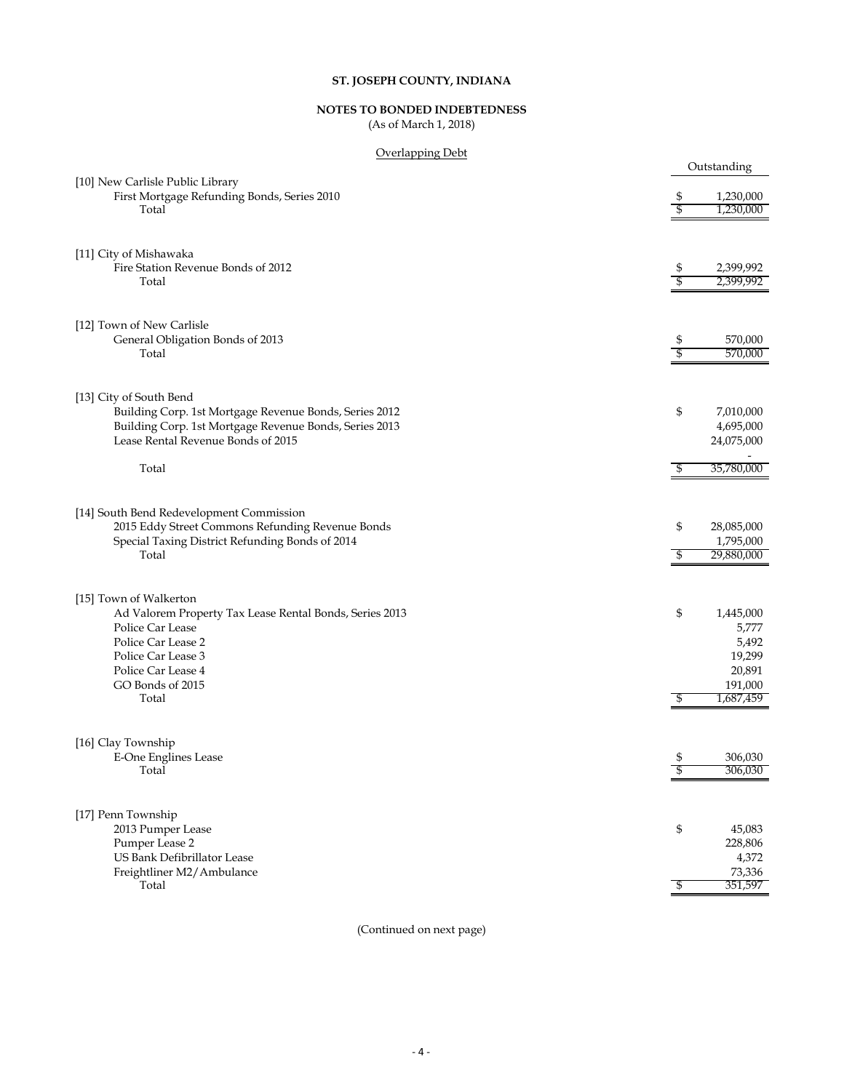# **NOTES TO BONDED INDEBTEDNESS**

(As of March 1, 2018)

#### Overlapping Debt

| <u>Overlapping Debt</u>                                                         |                    |                        |
|---------------------------------------------------------------------------------|--------------------|------------------------|
|                                                                                 |                    | Outstanding            |
| [10] New Carlisle Public Library<br>First Mortgage Refunding Bonds, Series 2010 | \$                 | 1,230,000              |
| Total                                                                           | \$                 | 1,230,000              |
|                                                                                 |                    |                        |
|                                                                                 |                    |                        |
| [11] City of Mishawaka                                                          |                    |                        |
| Fire Station Revenue Bonds of 2012<br>Total                                     | \$<br>\$           | 2,399,992<br>2,399,992 |
|                                                                                 |                    |                        |
|                                                                                 |                    |                        |
| [12] Town of New Carlisle<br>General Obligation Bonds of 2013                   |                    | 570,000                |
| Total                                                                           | \$<br>\$           | 570,000                |
|                                                                                 |                    |                        |
| [13] City of South Bend                                                         |                    |                        |
| Building Corp. 1st Mortgage Revenue Bonds, Series 2012                          | \$                 | 7,010,000              |
| Building Corp. 1st Mortgage Revenue Bonds, Series 2013                          |                    | 4,695,000              |
| Lease Rental Revenue Bonds of 2015                                              |                    | 24,075,000             |
|                                                                                 |                    |                        |
| Total                                                                           | \$                 | 35,780,000             |
|                                                                                 |                    |                        |
| [14] South Bend Redevelopment Commission                                        |                    |                        |
| 2015 Eddy Street Commons Refunding Revenue Bonds                                | \$                 | 28,085,000             |
| Special Taxing District Refunding Bonds of 2014                                 |                    | 1,795,000              |
| Total                                                                           | \$                 | 29,880,000             |
|                                                                                 |                    |                        |
| [15] Town of Walkerton                                                          |                    |                        |
| Ad Valorem Property Tax Lease Rental Bonds, Series 2013                         | \$                 | 1,445,000              |
| Police Car Lease                                                                |                    | 5,777                  |
| Police Car Lease 2                                                              |                    | 5,492                  |
| Police Car Lease 3                                                              |                    | 19,299                 |
| Police Car Lease 4<br>GO Bonds of 2015                                          |                    | 20,891<br>191,000      |
| Total                                                                           | \$                 | 1,687,459              |
|                                                                                 |                    |                        |
| [16] Clay Township                                                              |                    |                        |
| E-One Englines Lease                                                            | \$                 | 306,030                |
| Total                                                                           | $\, \mathbb{S} \,$ | 306,030                |
|                                                                                 |                    |                        |
| [17] Penn Township                                                              |                    |                        |
| 2013 Pumper Lease                                                               | \$                 | 45,083                 |
| Pumper Lease 2                                                                  |                    | 228,806                |
| US Bank Defibrillator Lease                                                     |                    | 4,372                  |
| Freightliner M2/Ambulance                                                       |                    | 73,336                 |
| Total                                                                           | \$                 | 351,597                |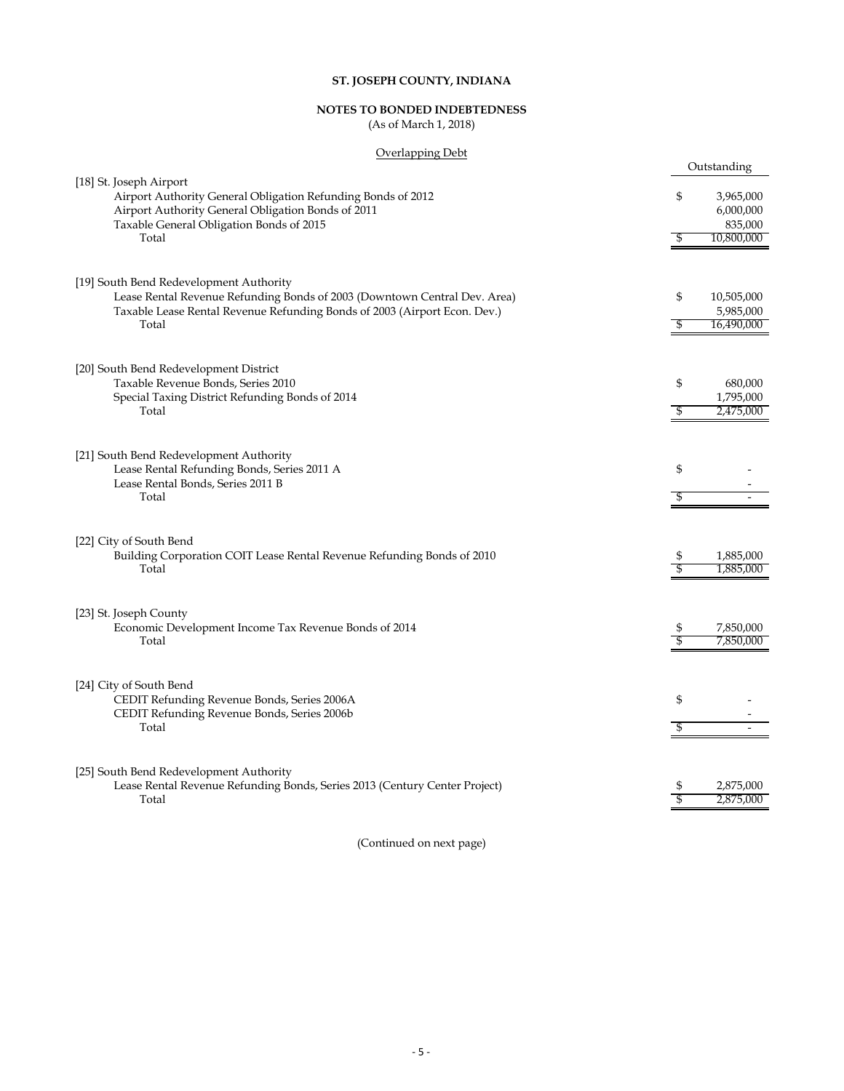# **NOTES TO BONDED INDEBTEDNESS**

(As of March 1, 2018)

#### Overlapping Debt

|                                                                                                                      |          | Outstanding                        |
|----------------------------------------------------------------------------------------------------------------------|----------|------------------------------------|
| [18] St. Joseph Airport<br>Airport Authority General Obligation Refunding Bonds of 2012                              | \$       | 3,965,000                          |
| Airport Authority General Obligation Bonds of 2011<br>Taxable General Obligation Bonds of 2015<br>Total              | \$       | 6,000,000<br>835,000<br>10,800,000 |
|                                                                                                                      |          |                                    |
| [19] South Bend Redevelopment Authority<br>Lease Rental Revenue Refunding Bonds of 2003 (Downtown Central Dev. Area) | \$       | 10,505,000                         |
| Taxable Lease Rental Revenue Refunding Bonds of 2003 (Airport Econ. Dev.)<br>Total                                   | \$       | 5,985,000<br>16,490,000            |
| [20] South Bend Redevelopment District                                                                               |          |                                    |
| Taxable Revenue Bonds, Series 2010<br>Special Taxing District Refunding Bonds of 2014                                | \$       | 680,000<br>1,795,000               |
| Total                                                                                                                | \$       | 2,475,000                          |
| [21] South Bend Redevelopment Authority<br>Lease Rental Refunding Bonds, Series 2011 A                               | \$       |                                    |
| Lease Rental Bonds, Series 2011 B<br>Total                                                                           | S        |                                    |
|                                                                                                                      |          |                                    |
| [22] City of South Bend<br>Building Corporation COIT Lease Rental Revenue Refunding Bonds of 2010<br>Total           | \$<br>\$ | 1,885,000<br>1,885,000             |
|                                                                                                                      |          |                                    |
| [23] St. Joseph County<br>Economic Development Income Tax Revenue Bonds of 2014                                      | \$       | 7,850,000                          |
| Total                                                                                                                | \$       | 7,850,000                          |
| [24] City of South Bend<br>CEDIT Refunding Revenue Bonds, Series 2006A                                               | \$       |                                    |
| CEDIT Refunding Revenue Bonds, Series 2006b<br>Total                                                                 | \$       |                                    |
| [25] South Bend Redevelopment Authority                                                                              |          |                                    |
| Lease Rental Revenue Refunding Bonds, Series 2013 (Century Center Project)<br>Total                                  | \$       | 2,875,000<br>2,875,000             |
|                                                                                                                      |          |                                    |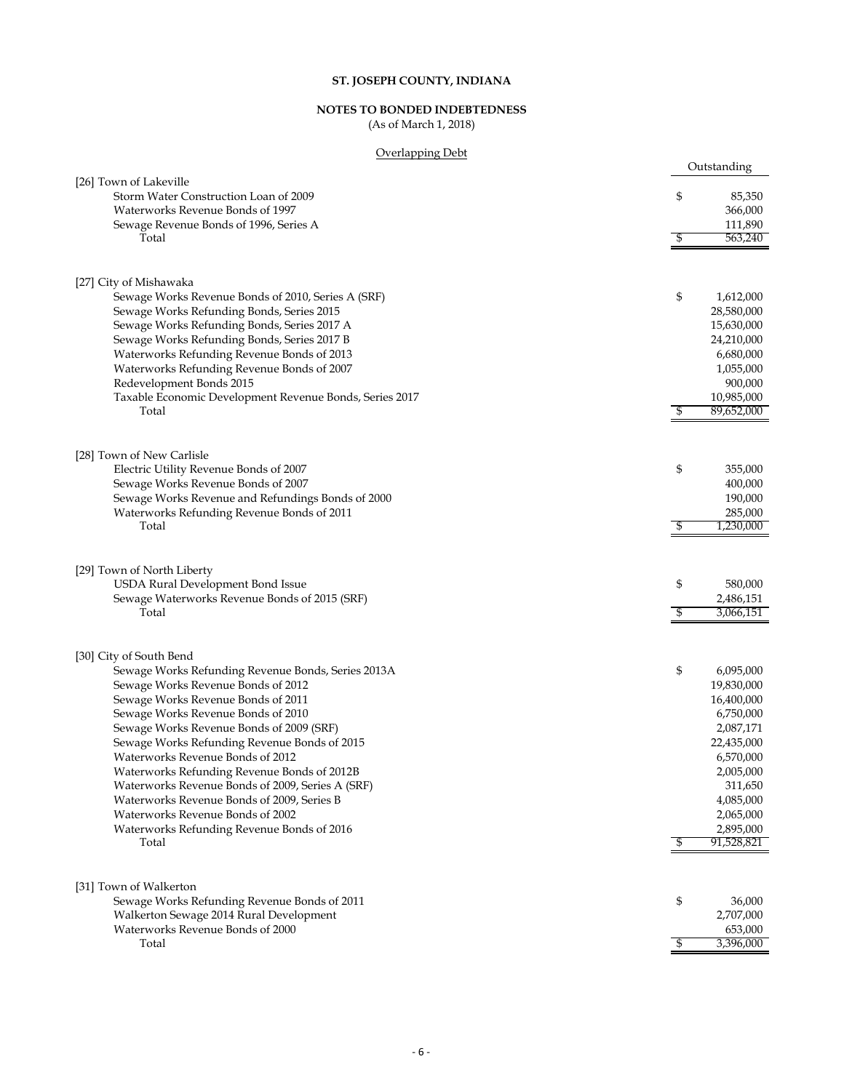# **NOTES TO BONDED INDEBTEDNESS**

(As of March 1, 2018)

### Overlapping Debt

| <u>Overlapping Debt</u>                                 |                  |
|---------------------------------------------------------|------------------|
|                                                         | Outstanding      |
| [26] Town of Lakeville                                  |                  |
| Storm Water Construction Loan of 2009                   | \$<br>85,350     |
| Waterworks Revenue Bonds of 1997                        | 366,000          |
| Sewage Revenue Bonds of 1996, Series A                  | 111,890          |
| Total                                                   | \$<br>563,240    |
|                                                         |                  |
|                                                         |                  |
| [27] City of Mishawaka                                  |                  |
| Sewage Works Revenue Bonds of 2010, Series A (SRF)      | \$<br>1,612,000  |
|                                                         | 28,580,000       |
| Sewage Works Refunding Bonds, Series 2015               |                  |
| Sewage Works Refunding Bonds, Series 2017 A             | 15,630,000       |
| Sewage Works Refunding Bonds, Series 2017 B             | 24,210,000       |
| Waterworks Refunding Revenue Bonds of 2013              | 6,680,000        |
| Waterworks Refunding Revenue Bonds of 2007              | 1,055,000        |
| Redevelopment Bonds 2015                                | 900,000          |
| Taxable Economic Development Revenue Bonds, Series 2017 | 10,985,000       |
| Total                                                   | \$<br>89,652,000 |
|                                                         |                  |
|                                                         |                  |
| [28] Town of New Carlisle                               |                  |
| Electric Utility Revenue Bonds of 2007                  | \$<br>355,000    |
| Sewage Works Revenue Bonds of 2007                      | 400,000          |
| Sewage Works Revenue and Refundings Bonds of 2000       | 190,000          |
| Waterworks Refunding Revenue Bonds of 2011              | 285,000          |
| Total                                                   | \$<br>1,230,000  |
|                                                         |                  |
|                                                         |                  |
| [29] Town of North Liberty                              |                  |
| USDA Rural Development Bond Issue                       | \$<br>580,000    |
| Sewage Waterworks Revenue Bonds of 2015 (SRF)           | 2,486,151        |
| Total                                                   | \$<br>3,066,151  |
|                                                         |                  |
|                                                         |                  |
| [30] City of South Bend                                 |                  |
| Sewage Works Refunding Revenue Bonds, Series 2013A      | \$<br>6,095,000  |
| Sewage Works Revenue Bonds of 2012                      | 19,830,000       |
| Sewage Works Revenue Bonds of 2011                      | 16,400,000       |
| Sewage Works Revenue Bonds of 2010                      | 6,750,000        |
| Sewage Works Revenue Bonds of 2009 (SRF)                | 2,087,171        |
| Sewage Works Refunding Revenue Bonds of 2015            | 22,435,000       |
| Waterworks Revenue Bonds of 2012                        | 6,570,000        |
| Waterworks Refunding Revenue Bonds of 2012B             | 2,005,000        |
| Waterworks Revenue Bonds of 2009, Series A (SRF)        | 311,650          |
| Waterworks Revenue Bonds of 2009, Series B              | 4,085,000        |
| Waterworks Revenue Bonds of 2002                        | 2,065,000        |
| Waterworks Refunding Revenue Bonds of 2016              | 2,895,000        |
| Total                                                   | \$<br>91,528,821 |
|                                                         |                  |
|                                                         |                  |
| [31] Town of Walkerton                                  |                  |
| Sewage Works Refunding Revenue Bonds of 2011            | \$<br>36,000     |
| Walkerton Sewage 2014 Rural Development                 | 2,707,000        |
| Waterworks Revenue Bonds of 2000                        | 653,000          |
| Total                                                   | \$<br>3,396,000  |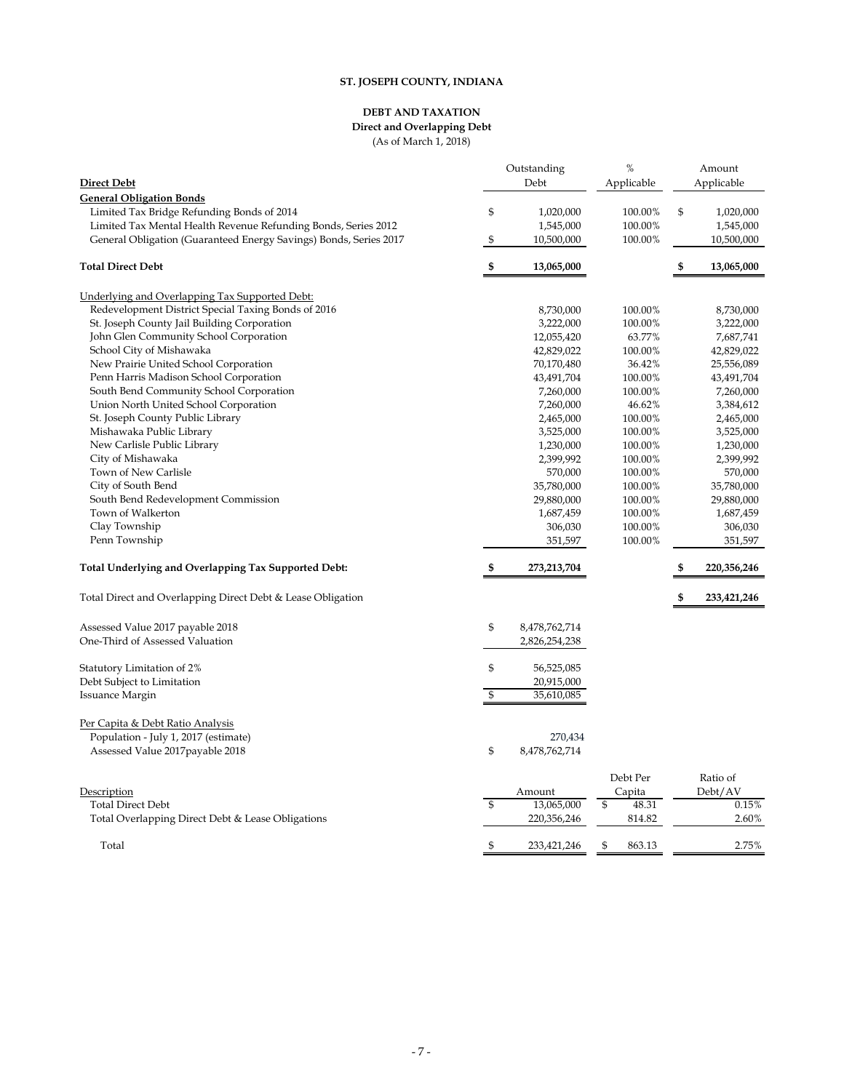#### **DEBT AND TAXATION Direct and Overlapping Debt**

(As of March 1, 2018)

|                                                                   | Outstanding    |               | %            |            | Amount      |  |  |
|-------------------------------------------------------------------|----------------|---------------|--------------|------------|-------------|--|--|
| <b>Direct Debt</b>                                                |                | Debt          | Applicable   | Applicable |             |  |  |
| <b>General Obligation Bonds</b>                                   |                |               |              |            |             |  |  |
| Limited Tax Bridge Refunding Bonds of 2014                        | \$             | 1,020,000     | 100.00%      | \$         | 1,020,000   |  |  |
| Limited Tax Mental Health Revenue Refunding Bonds, Series 2012    |                | 1,545,000     | 100.00%      |            | 1,545,000   |  |  |
| General Obligation (Guaranteed Energy Savings) Bonds, Series 2017 | \$             | 10,500,000    | 100.00%      |            | 10,500,000  |  |  |
|                                                                   |                |               |              |            |             |  |  |
| <b>Total Direct Debt</b>                                          | \$             | 13,065,000    |              | \$         | 13,065,000  |  |  |
| Underlying and Overlapping Tax Supported Debt:                    |                |               |              |            |             |  |  |
| Redevelopment District Special Taxing Bonds of 2016               |                | 8,730,000     | 100.00%      |            | 8,730,000   |  |  |
| St. Joseph County Jail Building Corporation                       |                | 3,222,000     | 100.00%      |            | 3,222,000   |  |  |
| John Glen Community School Corporation                            |                | 12,055,420    | 63.77%       |            | 7,687,741   |  |  |
| School City of Mishawaka                                          |                | 42,829,022    | 100.00%      |            | 42,829,022  |  |  |
| New Prairie United School Corporation                             |                | 70,170,480    | 36.42%       |            | 25,556,089  |  |  |
| Penn Harris Madison School Corporation                            |                | 43,491,704    | 100.00%      |            | 43,491,704  |  |  |
| South Bend Community School Corporation                           |                | 7,260,000     | 100.00%      |            | 7,260,000   |  |  |
| Union North United School Corporation                             |                | 7,260,000     | 46.62%       |            | 3,384,612   |  |  |
| St. Joseph County Public Library                                  |                | 2,465,000     | 100.00%      |            | 2,465,000   |  |  |
| Mishawaka Public Library                                          |                | 3,525,000     | 100.00%      |            | 3,525,000   |  |  |
| New Carlisle Public Library                                       |                | 1,230,000     | 100.00%      |            | 1,230,000   |  |  |
| City of Mishawaka                                                 |                | 2,399,992     | 100.00%      |            | 2,399,992   |  |  |
| Town of New Carlisle                                              |                | 570,000       | 100.00%      |            | 570,000     |  |  |
| City of South Bend                                                |                | 35,780,000    | 100.00%      |            | 35,780,000  |  |  |
| South Bend Redevelopment Commission                               |                | 29,880,000    | 100.00%      |            | 29,880,000  |  |  |
| Town of Walkerton                                                 |                | 1,687,459     | 100.00%      |            | 1,687,459   |  |  |
| Clay Township                                                     |                | 306,030       | 100.00%      |            | 306,030     |  |  |
| Penn Township                                                     |                | 351,597       | 100.00%      |            | 351,597     |  |  |
| Total Underlying and Overlapping Tax Supported Debt:              | \$             | 273,213,704   |              | \$         | 220,356,246 |  |  |
|                                                                   |                |               |              |            |             |  |  |
| Total Direct and Overlapping Direct Debt & Lease Obligation       |                |               |              | \$         | 233,421,246 |  |  |
| Assessed Value 2017 payable 2018                                  | \$             | 8,478,762,714 |              |            |             |  |  |
| One-Third of Assessed Valuation                                   |                | 2,826,254,238 |              |            |             |  |  |
| Statutory Limitation of 2%                                        | \$             | 56,525,085    |              |            |             |  |  |
| Debt Subject to Limitation                                        |                | 20,915,000    |              |            |             |  |  |
| Issuance Margin                                                   | \$             | 35,610,085    |              |            |             |  |  |
| Per Capita & Debt Ratio Analysis                                  |                |               |              |            |             |  |  |
| Population - July 1, 2017 (estimate)                              |                | 270,434       |              |            |             |  |  |
| Assessed Value 2017 payable 2018                                  | \$             | 8,478,762,714 |              |            |             |  |  |
|                                                                   |                |               |              |            |             |  |  |
|                                                                   |                |               | Debt Per     |            | Ratio of    |  |  |
| Description                                                       |                | Amount        | Capita       |            | Debt/AV     |  |  |
| <b>Total Direct Debt</b>                                          | $\mathfrak{S}$ | 13,065,000    | \$<br>48.31  |            | 0.15%       |  |  |
| Total Overlapping Direct Debt & Lease Obligations                 |                | 220,356,246   | 814.82       |            | 2.60%       |  |  |
|                                                                   |                |               |              |            |             |  |  |
| Total                                                             | \$             | 233,421,246   | \$<br>863.13 |            | 2.75%       |  |  |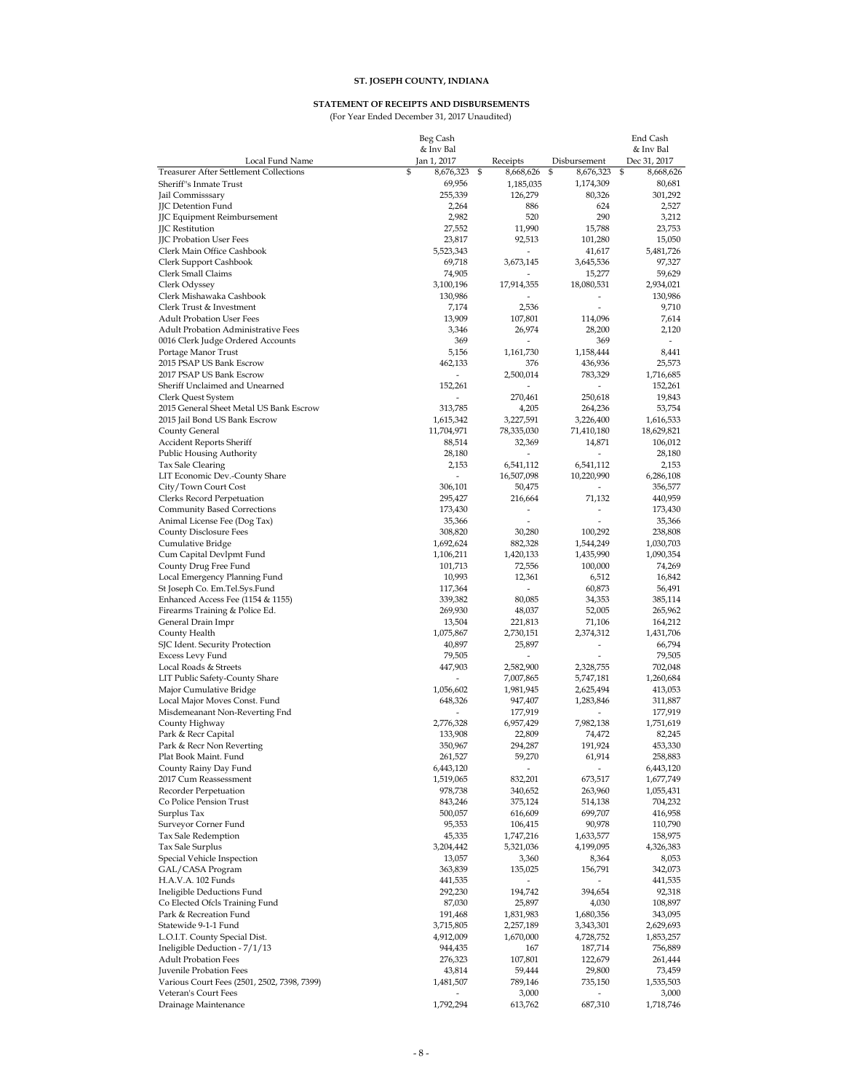#### **STATEMENT OF RECEIPTS AND DISBURSEMENTS**

(For Year Ended December 31, 2017 Unaudited)

|                                                           | Beg Cash                 |                          |                                    | End Cash            |
|-----------------------------------------------------------|--------------------------|--------------------------|------------------------------------|---------------------|
|                                                           | & Inv Bal                |                          |                                    | & Inv Bal           |
| Local Fund Name                                           | Jan 1, 2017              | Receipts                 | Disbursement                       | Dec 31, 2017        |
| <b>Treasurer After Settlement Collections</b>             | \$<br>8,676,323          | \$<br>8,668,626          | \$<br>8,676,323                    | \$<br>8,668,626     |
| Sheriff's Inmate Trust                                    | 69,956                   | 1,185,035                | 1,174,309                          | 80,681              |
| Jail Commisssary                                          | 255,339                  | 126,279                  | 80,326                             | 301,292             |
| <b>JIC Detention Fund</b>                                 | 2,264                    | 886                      | 624                                | 2,527               |
| JJC Equipment Reimbursement<br><b>JC</b> Restitution      | 2,982<br>27,552          | 520<br>11,990            | 290<br>15,788                      | 3,212<br>23,753     |
| <b>JIC Probation User Fees</b>                            | 23,817                   | 92,513                   | 101,280                            | 15,050              |
| Clerk Main Office Cashbook                                | 5,523,343                | $\overline{\phantom{a}}$ | 41,617                             | 5,481,726           |
| Clerk Support Cashbook                                    | 69,718                   | 3,673,145                | 3,645,536                          | 97,327              |
| Clerk Small Claims                                        | 74,905                   | $\overline{\phantom{a}}$ | 15,277                             | 59,629              |
| Clerk Odyssey                                             | 3,100,196                | 17,914,355               | 18,080,531                         | 2,934,021           |
| Clerk Mishawaka Cashbook                                  | 130,986                  |                          | $\overline{\phantom{a}}$           | 130,986             |
| Clerk Trust & Investment                                  | 7,174                    | 2.536                    |                                    | 9,710               |
| <b>Adult Probation User Fees</b>                          | 13,909                   | 107,801                  | 114,096                            | 7,614               |
| <b>Adult Probation Administrative Fees</b>                | 3,346                    | 26,974                   | 28,200                             | 2,120               |
| 0016 Clerk Judge Ordered Accounts                         | 369                      | ÷.                       | 369                                | $\overline{a}$      |
| Portage Manor Trust                                       | 5,156                    | 1,161,730                | 1,158,444                          | 8,441               |
| 2015 PSAP US Bank Escrow                                  | 462,133                  | 376                      | 436,936                            | 25,573              |
| 2017 PSAP US Bank Escrow                                  | $\overline{\phantom{0}}$ | 2,500,014                | 783,329                            | 1,716,685           |
| Sheriff Unclaimed and Unearned                            | 152,261                  |                          | $\overline{\phantom{a}}$           | 152,261             |
| Clerk Quest System                                        |                          | 270,461                  | 250,618                            | 19,843              |
| 2015 General Sheet Metal US Bank Escrow                   | 313,785                  | 4,205                    | 264,236                            | 53,754              |
| 2015 Jail Bond US Bank Escrow                             | 1,615,342                | 3,227,591                | 3,226,400                          | 1,616,533           |
| County General                                            | 11,704,971               | 78,335,030               | 71,410,180                         | 18,629,821          |
| Accident Reports Sheriff                                  | 88,514                   | 32,369                   | 14,871                             | 106,012             |
| Public Housing Authority                                  | 28,180                   | $\overline{\phantom{a}}$ | $\overline{\phantom{a}}$           | 28,180              |
| Tax Sale Clearing                                         | 2,153                    | 6,541,112                | 6,541,112                          | 2,153               |
| LIT Economic Dev.-County Share                            | $\overline{\phantom{a}}$ | 16,507,098               | 10,220,990                         | 6,286,108           |
| City/Town Court Cost                                      | 306,101                  | 50,475                   | $\overline{\phantom{a}}$<br>71,132 | 356,577             |
| Clerks Record Perpetuation<br>Community Based Corrections | 295,427<br>173,430       | 216,664<br>L,            | $\overline{a}$                     | 440,959<br>173,430  |
| Animal License Fee (Dog Tax)                              | 35,366                   | $\overline{a}$           | ÷,                                 | 35,366              |
| <b>County Disclosure Fees</b>                             | 308,820                  | 30,280                   | 100,292                            | 238,808             |
| Cumulative Bridge                                         | 1,692,624                | 882,328                  | 1,544,249                          | 1,030,703           |
| Cum Capital Devlpmt Fund                                  | 1,106,211                | 1,420,133                | 1,435,990                          | 1,090,354           |
| County Drug Free Fund                                     | 101,713                  | 72,556                   | 100,000                            | 74,269              |
| Local Emergency Planning Fund                             | 10,993                   | 12,361                   | 6,512                              | 16,842              |
| St Joseph Co. Em.Tel.Sys.Fund                             | 117,364                  |                          | 60,873                             | 56,491              |
| Enhanced Access Fee (1154 & 1155)                         | 339,382                  | 80,085                   | 34,353                             | 385,114             |
| Firearms Training & Police Ed.                            | 269,930                  | 48,037                   | 52,005                             | 265,962             |
| General Drain Impr                                        | 13,504                   | 221,813                  | 71,106                             | 164,212             |
| County Health                                             | 1,075,867                | 2,730,151                | 2,374,312                          | 1,431,706           |
| SJC Ident. Security Protection                            | 40,897                   | 25,897                   | $\sim$                             | 66,794              |
| Excess Levy Fund                                          | 79,505                   | $\overline{a}$           | $\sim$                             | 79,505              |
| Local Roads & Streets                                     | 447,903                  | 2,582,900                | 2,328,755                          | 702,048             |
| LIT Public Safety-County Share                            |                          | 7,007,865                | 5,747,181                          | 1,260,684           |
| Major Cumulative Bridge                                   | 1,056,602                | 1,981,945                | 2,625,494                          | 413,053             |
| Local Major Moves Const. Fund                             | 648,326                  | 947,407                  | 1,283,846                          | 311,887             |
| Misdemeanant Non-Reverting Fnd                            |                          | 177,919                  | $\overline{a}$                     | 177,919             |
| County Highway<br>Park & Recr Capital                     | 2,776,328<br>133,908     | 6,957,429<br>22,809      | 7,982,138<br>74,472                | 1,751,619<br>82,245 |
| Park & Recr Non Reverting                                 | 350,967                  | 294,287                  | 191,924                            | 453,330             |
| Plat Book Maint. Fund                                     | 261,527                  | 59,270                   | 61,914                             | 258,883             |
| County Rainy Day Fund                                     | 6,443,120                |                          |                                    | 6,443,120           |
| 2017 Cum Reassessment                                     | 1,519,065                | 832,201                  | 673,517                            | 1,677,749           |
| Recorder Perpetuation                                     | 978,738                  | 340,652                  | 263,960                            | 1,055,431           |
| Co Police Pension Trust                                   | 843,246                  | 375,124                  | 514,138                            | 704,232             |
| Surplus Tax                                               | 500,057                  | 616,609                  | 699,707                            | 416,958             |
| Surveyor Corner Fund                                      | 95,353                   | 106,415                  | 90,978                             | 110,790             |
| Tax Sale Redemption                                       | 45,335                   | 1,747,216                | 1,633,577                          | 158,975             |
| Tax Sale Surplus                                          | 3,204,442                | 5,321,036                | 4,199,095                          | 4,326,383           |
| Special Vehicle Inspection                                | 13,057                   | 3,360                    | 8,364                              | 8,053               |
| GAL/CASA Program                                          | 363,839                  | 135,025                  | 156,791                            | 342,073             |
| H.A.V.A. 102 Funds                                        | 441,535                  |                          |                                    | 441,535             |
| Ineligible Deductions Fund                                | 292,230                  | 194,742                  | 394,654                            | 92,318              |
| Co Elected Ofcls Training Fund                            | 87,030                   | 25,897                   | 4,030                              | 108,897             |
| Park & Recreation Fund                                    | 191,468                  | 1,831,983                | 1,680,356                          | 343,095             |
| Statewide 9-1-1 Fund                                      | 3,715,805                | 2,257,189                | 3,343,301                          | 2,629,693           |
| L.O.I.T. County Special Dist.                             | 4,912,009                | 1,670,000                | 4,728,752                          | 1,853,257           |
| Ineligible Deduction - 7/1/13                             | 944,435                  | 167                      | 187,714                            | 756,889             |
| <b>Adult Probation Fees</b><br>Juvenile Probation Fees    | 276,323                  | 107,801                  | 122,679                            | 261,444             |
| Various Court Fees (2501, 2502, 7398, 7399)               | 43,814<br>1,481,507      | 59,444<br>789,146        | 29,800<br>735,150                  | 73,459<br>1,535,503 |
| Veteran's Court Fees                                      |                          | 3,000                    |                                    | 3,000               |
| Drainage Maintenance                                      | 1,792,294                | 613,762                  | 687,310                            | 1,718,746           |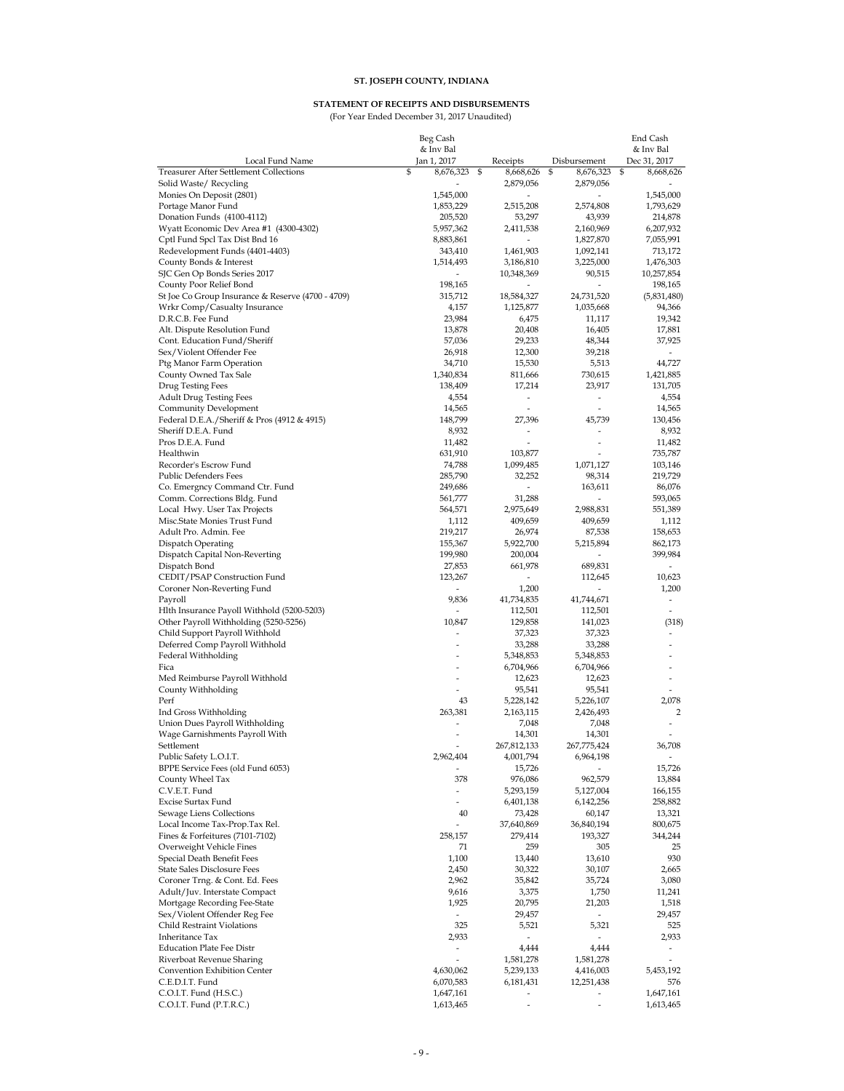#### **STATEMENT OF RECEIPTS AND DISBURSEMENTS**

(For Year Ended December 31, 2017 Unaudited)

|                                                                    | Beg Cash                          |                                   |                                   | End Cash                     |
|--------------------------------------------------------------------|-----------------------------------|-----------------------------------|-----------------------------------|------------------------------|
|                                                                    | & Inv Bal                         |                                   |                                   | & Inv Bal                    |
| Local Fund Name                                                    | Jan 1, 2017                       | Receipts                          | Disbursement                      | Dec 31, 2017                 |
| <b>Treasurer After Settlement Collections</b>                      | \$<br>8,676,323                   | \$<br>8,668,626                   | \$<br>8,676,323                   | \$<br>8,668,626              |
| Solid Waste/ Recycling                                             | 1,545,000                         | 2,879,056<br>L,                   | 2,879,056<br>$\overline{a}$       | 1,545,000                    |
| Monies On Deposit (2801)<br>Portage Manor Fund                     | 1,853,229                         | 2,515,208                         | 2,574,808                         | 1,793,629                    |
| Donation Funds (4100-4112)                                         | 205,520                           | 53,297                            | 43,939                            | 214,878                      |
| Wyatt Economic Dev Area #1 (4300-4302)                             | 5,957,362                         | 2,411,538                         | 2,160,969                         | 6,207,932                    |
| Cptl Fund Spcl Tax Dist Bnd 16                                     | 8,883,861                         | L,                                | 1,827,870                         | 7,055,991                    |
| Redevelopment Funds (4401-4403)                                    | 343,410                           | 1,461,903                         | 1,092,141                         | 713,172                      |
| County Bonds & Interest                                            | 1,514,493                         | 3,186,810                         | 3,225,000                         | 1,476,303                    |
| SJC Gen Op Bonds Series 2017                                       |                                   | 10,348,369                        | 90,515                            | 10,257,854                   |
| County Poor Relief Bond                                            | 198,165                           |                                   | L,                                | 198,165                      |
| St Joe Co Group Insurance & Reserve (4700 - 4709)                  | 315,712                           | 18,584,327                        | 24,731,520                        | (5,831,480)                  |
| Wrkr Comp/Casualty Insurance                                       | 4,157                             | 1,125,877                         | 1,035,668                         | 94,366                       |
| D.R.C.B. Fee Fund                                                  | 23,984                            | 6,475                             | 11,117                            | 19,342                       |
| Alt. Dispute Resolution Fund                                       | 13,878                            | 20,408                            | 16,405                            | 17,881                       |
| Cont. Education Fund/Sheriff                                       | 57,036                            | 29,233                            | 48,344                            | 37,925                       |
| Sex/Violent Offender Fee                                           | 26,918                            | 12,300                            | 39,218                            | $\overline{\phantom{a}}$     |
| Ptg Manor Farm Operation                                           | 34,710                            | 15,530                            | 5,513                             | 44,727                       |
| County Owned Tax Sale                                              | 1,340,834                         | 811,666                           | 730,615                           | 1,421,885                    |
| Drug Testing Fees                                                  | 138,409                           | 17,214                            | 23,917                            | 131,705                      |
| <b>Adult Drug Testing Fees</b>                                     | 4,554                             | $\overline{a}$                    | $\overline{a}$                    | 4,554                        |
| Community Development                                              | 14,565                            | $\overline{a}$                    | $\overline{a}$                    | 14,565                       |
| Federal D.E.A./Sheriff & Pros (4912 & 4915)<br>Sheriff D.E.A. Fund | 148,799                           | 27,396                            | 45,739                            | 130,456                      |
| Pros D.E.A. Fund                                                   | 8,932                             | -<br>$\overline{a}$               | $\overline{a}$                    | 8,932<br>11,482              |
| Healthwin                                                          | 11,482<br>631,910                 | 103,877                           |                                   | 735,787                      |
| Recorder's Escrow Fund                                             | 74,788                            | 1,099,485                         | 1,071,127                         | 103,146                      |
| Public Defenders Fees                                              | 285,790                           | 32,252                            | 98,314                            | 219,729                      |
| Co. Emergncy Command Ctr. Fund                                     | 249,686                           | $\overline{a}$                    | 163,611                           | 86,076                       |
| Comm. Corrections Bldg. Fund                                       | 561,777                           | 31,288                            | L.                                | 593,065                      |
| Local Hwy. User Tax Projects                                       | 564,571                           | 2,975,649                         | 2,988,831                         | 551,389                      |
| Misc.State Monies Trust Fund                                       | 1,112                             | 409,659                           | 409,659                           | 1,112                        |
| Adult Pro. Admin. Fee                                              | 219,217                           | 26,974                            | 87,538                            | 158,653                      |
| <b>Dispatch Operating</b>                                          | 155,367                           | 5,922,700                         | 5,215,894                         | 862,173                      |
| Dispatch Capital Non-Reverting                                     | 199,980                           | 200,004                           |                                   | 399,984                      |
| Dispatch Bond                                                      | 27,853                            | 661,978                           | 689,831                           | ä,                           |
| CEDIT/PSAP Construction Fund                                       | 123,267                           | ä,                                | 112,645                           | 10,623                       |
| Coroner Non-Reverting Fund                                         |                                   | 1,200                             |                                   | 1,200                        |
| Payroll                                                            | 9,836                             | 41,734,835                        | 41,744,671                        | $\qquad \qquad \blacksquare$ |
| Hlth Insurance Payoll Withhold (5200-5203)                         |                                   | 112,501                           | 112,501                           |                              |
| Other Payroll Withholding (5250-5256)                              | 10,847                            | 129,858                           | 141,023                           | (318)                        |
| Child Support Payroll Withhold                                     |                                   | 37,323                            | 37,323                            |                              |
| Deferred Comp Payroll Withhold                                     |                                   | 33,288                            | 33,288                            |                              |
| Federal Withholding                                                | $\overline{a}$<br>L,              | 5,348,853                         | 5,348,853                         |                              |
| Fica                                                               | L.                                | 6,704,966                         | 6,704,966                         | ٠                            |
| Med Reimburse Payroll Withhold                                     | $\overline{a}$                    | 12,623                            | 12,623                            |                              |
| County Withholding<br>Perf                                         | 43                                | 95,541<br>5,228,142               | 95,541<br>5,226,107               | 2,078                        |
| Ind Gross Withholding                                              | 263,381                           | 2,163,115                         | 2,426,493                         | $\overline{2}$               |
| Union Dues Payroll Withholding                                     | $\overline{a}$                    | 7,048                             | 7,048                             |                              |
| Wage Garnishments Payroll With                                     | $\overline{a}$                    | 14,301                            | 14,301                            |                              |
| Settlement                                                         | L,                                | 267,812,133                       | 267,775,424                       | 36,708                       |
| Public Safety L.O.I.T.                                             | 2,962,404                         | 4,001,794                         | 6,964,198                         |                              |
| BPPE Service Fees (old Fund 6053)                                  |                                   | 15,726                            |                                   | 15,726                       |
| County Wheel Tax                                                   | 378                               | 976,086                           | 962,579                           | 13,884                       |
| C.V.E.T. Fund                                                      | $\overline{a}$                    | 5,293,159                         | 5,127,004                         | 166,155                      |
| Excise Surtax Fund                                                 | $\overline{a}$                    | 6,401,138                         | 6,142,256                         | 258,882                      |
| Sewage Liens Collections                                           | 40                                | 73,428                            | 60,147                            | 13,321                       |
| Local Income Tax-Prop.Tax Rel.                                     |                                   | 37,640,869                        | 36,840,194                        | 800,675                      |
| Fines & Forfeitures (7101-7102)                                    | 258,157                           | 279,414                           | 193,327                           | 344,244                      |
| Overweight Vehicle Fines                                           | 71                                | 259                               | 305                               | 25                           |
| Special Death Benefit Fees                                         | 1,100                             | 13,440                            | 13,610                            | 930                          |
| State Sales Disclosure Fees                                        | 2,450                             | 30,322                            | 30,107                            | 2,665                        |
| Coroner Trng. & Cont. Ed. Fees                                     | 2,962                             | 35,842                            | 35,724                            | 3,080                        |
| Adult/Juv. Interstate Compact                                      | 9,616                             | 3,375                             | 1,750                             | 11,241                       |
| Mortgage Recording Fee-State                                       | 1,925                             | 20,795                            | 21,203                            | 1,518                        |
| Sex/Violent Offender Reg Fee                                       | $\overline{\phantom{a}}$          | 29,457                            |                                   | 29,457                       |
| Child Restraint Violations<br>Inheritance Tax                      | 325                               | 5,521<br>$\overline{\phantom{0}}$ | 5,321<br>$\overline{\phantom{0}}$ | 525                          |
| <b>Education Plate Fee Distr</b>                                   | 2,933<br>$\overline{\phantom{a}}$ | 4,444                             | 4,444                             | 2,933<br>$\overline{a}$      |
| Riverboat Revenue Sharing                                          | $\frac{1}{2}$                     | 1,581,278                         | 1,581,278                         | ÷.                           |
| Convention Exhibition Center                                       | 4,630,062                         | 5,239,133                         | 4,416,003                         | 5,453,192                    |
| C.E.D.I.T. Fund                                                    | 6,070,583                         | 6,181,431                         | 12,251,438                        | 576                          |
| C.O.I.T. Fund (H.S.C.)                                             | 1,647,161                         |                                   |                                   | 1,647,161                    |
| C.O.I.T. Fund (P.T.R.C.)                                           | 1,613,465                         | $\overline{a}$                    | ÷,                                | 1,613,465                    |
|                                                                    |                                   |                                   |                                   |                              |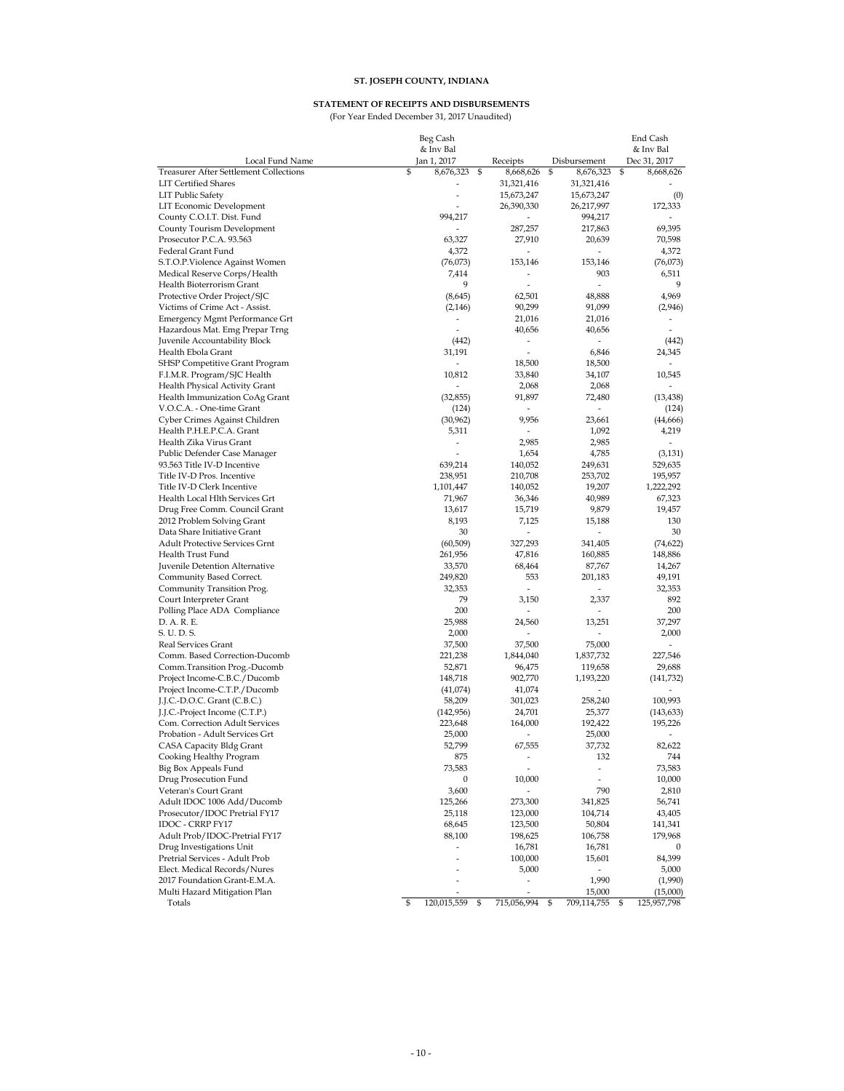#### **STATEMENT OF RECEIPTS AND DISBURSEMENTS**

(For Year Ended December 31, 2017 Unaudited)

|                                                             | Beg Cash          |                    |                             |              |                          | End Cash                        |
|-------------------------------------------------------------|-------------------|--------------------|-----------------------------|--------------|--------------------------|---------------------------------|
|                                                             | & Inv Bal         |                    |                             | Disbursement |                          | & Inv Bal                       |
| Local Fund Name<br>Treasurer After Settlement Collections   | Jan 1, 2017<br>\$ | 8,676,323          | \$<br>Receipts<br>8,668,626 | \$           | 8,676,323                | \$<br>Dec 31, 2017<br>8,668,626 |
| <b>LIT Certified Shares</b>                                 |                   |                    | 31,321,416                  |              | 31,321,416               |                                 |
| <b>LIT Public Safety</b>                                    |                   |                    | 15,673,247                  |              | 15,673,247               | (0)                             |
| LIT Economic Development                                    |                   |                    | 26,390,330                  |              | 26,217,997               | 172,333                         |
| County C.O.I.T. Dist. Fund                                  |                   | 994,217            |                             |              | 994,217                  |                                 |
| County Tourism Development                                  |                   |                    | 287,257                     |              | 217,863                  | 69,395                          |
| Prosecutor P.C.A. 93.563                                    |                   | 63,327             | 27,910                      |              | 20,639                   | 70,598                          |
| Federal Grant Fund                                          |                   | 4,372              | ä,                          |              | $\overline{\phantom{a}}$ | 4,372                           |
| S.T.O.P.Violence Against Women                              |                   | (76, 073)          | 153,146                     |              | 153,146                  | (76, 073)                       |
| Medical Reserve Corps/Health                                |                   | 7,414              |                             |              | 903                      | 6,511                           |
| Health Bioterrorism Grant                                   |                   | 9                  |                             |              | $\overline{a}$           | 9                               |
| Protective Order Project/SJC                                |                   | (8,645)            | 62,501                      |              | 48,888                   | 4,969                           |
| Victims of Crime Act - Assist.                              |                   | (2, 146)           | 90,299                      |              | 91,099                   | (2,946)                         |
| Emergency Mgmt Performance Grt                              |                   | ÷,                 | 21,016                      |              | 21,016                   |                                 |
| Hazardous Mat. Emg Prepar Trng                              |                   | $\overline{a}$     | 40,656                      |              | 40,656                   |                                 |
| Juvenile Accountability Block                               |                   | (442)              | ٠                           |              |                          | (442)                           |
| Health Ebola Grant                                          |                   | 31,191             |                             |              | 6,846                    | 24,345                          |
| SHSP Competitive Grant Program                              |                   |                    | 18,500                      |              | 18,500                   |                                 |
| F.I.M.R. Program/SJC Health                                 |                   | 10,812             | 33,840                      |              | 34,107                   | 10,545                          |
| Health Physical Activity Grant                              |                   |                    | 2,068                       |              | 2,068                    |                                 |
| Health Immunization CoAg Grant<br>V.O.C.A. - One-time Grant |                   | (32, 855)          | 91,897                      |              | 72,480<br>$\overline{a}$ | (13, 438)                       |
| Cyber Crimes Against Children                               |                   | (124)<br>(30, 962) | 9,956                       |              | 23,661                   | (124)<br>(44, 666)              |
| Health P.H.E.P.C.A. Grant                                   |                   | 5,311              |                             |              | 1,092                    | 4,219                           |
| Health Zika Virus Grant                                     |                   | ÷,                 | 2,985                       |              | 2,985                    |                                 |
| Public Defender Case Manager                                |                   |                    | 1,654                       |              | 4,785                    | (3, 131)                        |
| 93.563 Title IV-D Incentive                                 |                   | 639,214            | 140,052                     |              | 249,631                  | 529,635                         |
| Title IV-D Pros. Incentive                                  |                   | 238,951            | 210,708                     |              | 253,702                  | 195,957                         |
| Title IV-D Clerk Incentive                                  | 1,101,447         |                    | 140,052                     |              | 19,207                   | 1,222,292                       |
| Health Local Hlth Services Grt                              |                   | 71,967             | 36,346                      |              | 40,989                   | 67,323                          |
| Drug Free Comm. Council Grant                               |                   | 13,617             | 15,719                      |              | 9,879                    | 19,457                          |
| 2012 Problem Solving Grant                                  |                   | 8,193              | 7,125                       |              | 15,188                   | 130                             |
| Data Share Initiative Grant                                 |                   | 30                 | ä,                          |              | $\overline{\phantom{a}}$ | 30                              |
| <b>Adult Protective Services Grnt</b>                       |                   | (60, 509)          | 327,293                     |              | 341,405                  | (74, 622)                       |
| Health Trust Fund                                           |                   | 261,956            | 47,816                      |              | 160,885                  | 148,886                         |
| Juvenile Detention Alternative                              |                   | 33,570             | 68,464                      |              | 87,767                   | 14,267                          |
| Community Based Correct.                                    |                   | 249,820            | 553                         |              | 201,183                  | 49,191                          |
| Community Transition Prog.                                  |                   | 32,353             | $\overline{a}$              |              |                          | 32,353                          |
| Court Interpreter Grant                                     |                   | 79                 | 3,150                       |              | 2,337                    | 892                             |
| Polling Place ADA Compliance<br>D. A. R. E.                 |                   | 200<br>25,988      | 24,560                      |              | 13,251                   | 200<br>37,297                   |
| S. U. D. S.                                                 |                   | 2,000              | $\overline{a}$              |              |                          | 2,000                           |
| Real Services Grant                                         |                   | 37,500             | 37,500                      |              | 75,000                   |                                 |
| Comm. Based Correction-Ducomb                               |                   | 221,238            | 1,844,040                   |              | 1,837,732                | 227,546                         |
| Comm.Transition Prog.-Ducomb                                |                   | 52,871             | 96,475                      |              | 119,658                  | 29,688                          |
| Project Income-C.B.C./Ducomb                                |                   | 148,718            | 902,770                     |              | 1,193,220                | (141,732)                       |
| Project Income-C.T.P./Ducomb                                |                   | (41,074)           | 41,074                      |              |                          |                                 |
| J.J.C.-D.O.C. Grant (C.B.C.)                                |                   | 58,209             | 301,023                     |              | 258,240                  | 100,993                         |
| J.J.C.-Project Income (C.T.P.)                              |                   | (142, 956)         | 24,701                      |              | 25,377                   | (143, 633)                      |
| Com. Correction Adult Services                              |                   | 223,648            | 164,000                     |              | 192,422                  | 195,226                         |
| Probation - Adult Services Grt                              |                   | 25,000             |                             |              | 25,000                   |                                 |
| CASA Capacity Bldg Grant                                    |                   | 52,799             | 67,555                      |              | 37,732                   | 82,622                          |
| Cooking Healthy Program                                     |                   | 875                | $\overline{a}$              |              | 132                      | 744                             |
| Big Box Appeals Fund                                        |                   | 73,583             | $\overline{a}$              |              | $\overline{\phantom{a}}$ | 73,583                          |
| Drug Prosecution Fund                                       |                   | 0                  | 10,000                      |              | $\overline{\phantom{a}}$ | 10,000                          |
| Veteran's Court Grant                                       |                   | 3,600              |                             |              | 790                      | 2,810                           |
| Adult IDOC 1006 Add/Ducomb                                  |                   | 125,266            | 273,300                     |              | 341,825                  | 56,741                          |
| Prosecutor/IDOC Pretrial FY17                               |                   | 25,118             | 123,000                     |              | 104,714                  | 43,405                          |
| IDOC - CRRP FY17                                            |                   | 68,645             | 123,500                     |              | 50,804                   | 141,341                         |
| Adult Prob/IDOC-Pretrial FY17<br>Drug Investigations Unit   |                   | 88,100             | 198,625                     |              | 106,758                  | 179,968                         |
| Pretrial Services - Adult Prob                              |                   | L.                 | 16,781<br>100,000           |              | 16,781<br>15,601         | 0<br>84,399                     |
| Elect. Medical Records/Nures                                |                   |                    | 5,000                       |              |                          | 5,000                           |
| 2017 Foundation Grant-E.M.A.                                |                   |                    |                             |              | 1,990                    | (1,990)                         |
| Multi Hazard Mitigation Plan                                |                   |                    |                             |              | 15,000                   | (15,000)                        |
| Totals                                                      | \$<br>120,015,559 |                    | \$<br>715,056,994           | \$           | 709,114,755              | \$<br>125,957,798               |
|                                                             |                   |                    |                             |              |                          |                                 |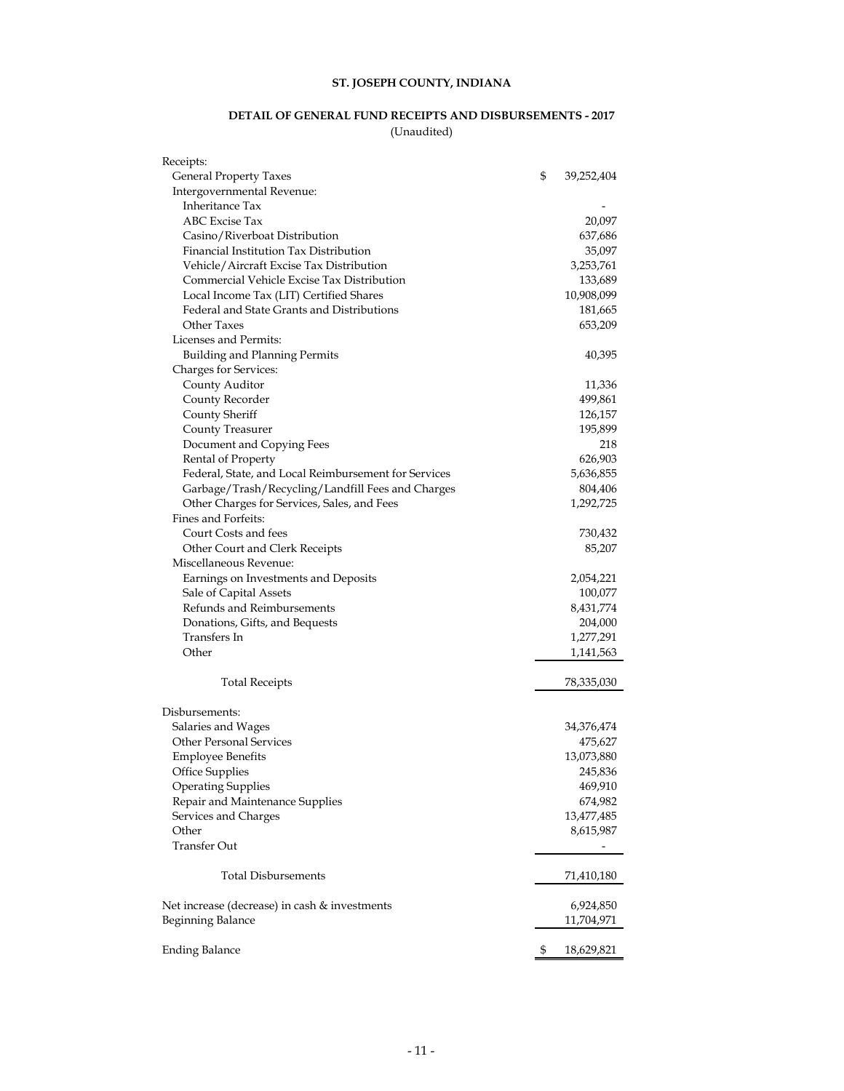### **DETAIL OF GENERAL FUND RECEIPTS AND DISBURSEMENTS - 2017** (Unaudited)

| Receipts:                                            |                  |
|------------------------------------------------------|------------------|
| General Property Taxes                               | \$<br>39,252,404 |
| Intergovernmental Revenue:                           |                  |
| Inheritance Tax                                      |                  |
| ABC Excise Tax                                       | 20,097           |
| Casino/Riverboat Distribution                        | 637,686          |
| Financial Institution Tax Distribution               | 35,097           |
| Vehicle/Aircraft Excise Tax Distribution             | 3,253,761        |
| Commercial Vehicle Excise Tax Distribution           | 133,689          |
| Local Income Tax (LIT) Certified Shares              | 10,908,099       |
| Federal and State Grants and Distributions           | 181,665          |
| Other Taxes                                          | 653,209          |
| Licenses and Permits:                                |                  |
| <b>Building and Planning Permits</b>                 | 40,395           |
| Charges for Services:                                |                  |
| County Auditor                                       | 11,336           |
| County Recorder                                      | 499,861          |
| County Sheriff                                       | 126,157          |
| County Treasurer                                     | 195,899          |
| Document and Copying Fees                            | 218              |
| Rental of Property                                   | 626,903          |
| Federal, State, and Local Reimbursement for Services | 5,636,855        |
| Garbage/Trash/Recycling/Landfill Fees and Charges    | 804,406          |
| Other Charges for Services, Sales, and Fees          | 1,292,725        |
| Fines and Forfeits:                                  |                  |
| Court Costs and fees                                 | 730,432          |
| Other Court and Clerk Receipts                       | 85,207           |
| Miscellaneous Revenue:                               |                  |
| Earnings on Investments and Deposits                 | 2,054,221        |
| Sale of Capital Assets                               | 100,077          |
| Refunds and Reimbursements                           | 8,431,774        |
| Donations, Gifts, and Bequests                       | 204,000          |
| Transfers In                                         | 1,277,291        |
| Other                                                | 1,141,563        |
|                                                      |                  |
| <b>Total Receipts</b>                                | 78,335,030       |
| Disbursements:                                       |                  |
| Salaries and Wages                                   | 34,376,474       |
| <b>Other Personal Services</b>                       | 475,627          |
| <b>Employee Benefits</b>                             | 13,073,880       |
| Office Supplies                                      | 245,836          |
| <b>Operating Supplies</b>                            | 469,910          |
| Repair and Maintenance Supplies                      | 674,982          |
| Services and Charges                                 | 13,477,485       |
| Other                                                | 8,615,987        |
| Transfer Out                                         |                  |
|                                                      |                  |
| <b>Total Disbursements</b>                           | 71,410,180       |
| Net increase (decrease) in cash & investments        | 6,924,850        |
| Beginning Balance                                    | 11,704,971       |
|                                                      |                  |
| <b>Ending Balance</b>                                | \$<br>18,629,821 |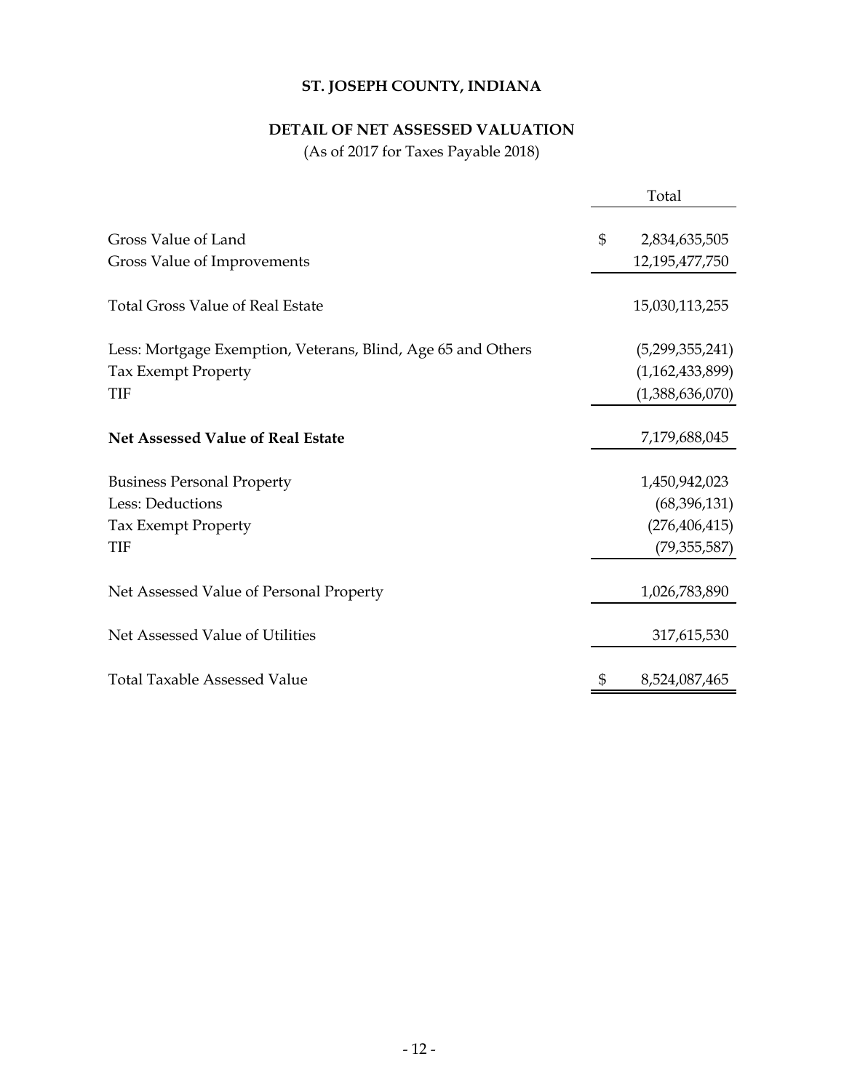# **DETAIL OF NET ASSESSED VALUATION**

(As of 2017 for Taxes Payable 2018)

|                                                              | Total                                 |
|--------------------------------------------------------------|---------------------------------------|
| Gross Value of Land<br>Gross Value of Improvements           | \$<br>2,834,635,505<br>12,195,477,750 |
| <b>Total Gross Value of Real Estate</b>                      | 15,030,113,255                        |
| Less: Mortgage Exemption, Veterans, Blind, Age 65 and Others | (5,299,355,241)                       |
| <b>Tax Exempt Property</b><br>TIF                            | (1,162,433,899)<br>(1,388,636,070)    |
| <b>Net Assessed Value of Real Estate</b>                     | 7,179,688,045                         |
| <b>Business Personal Property</b>                            | 1,450,942,023                         |
| Less: Deductions                                             | (68, 396, 131)                        |
| Tax Exempt Property                                          | (276, 406, 415)                       |
| TIF                                                          | (79, 355, 587)                        |
| Net Assessed Value of Personal Property                      | 1,026,783,890                         |
| Net Assessed Value of Utilities                              | 317,615,530                           |
| <b>Total Taxable Assessed Value</b>                          | 8,524,087,465                         |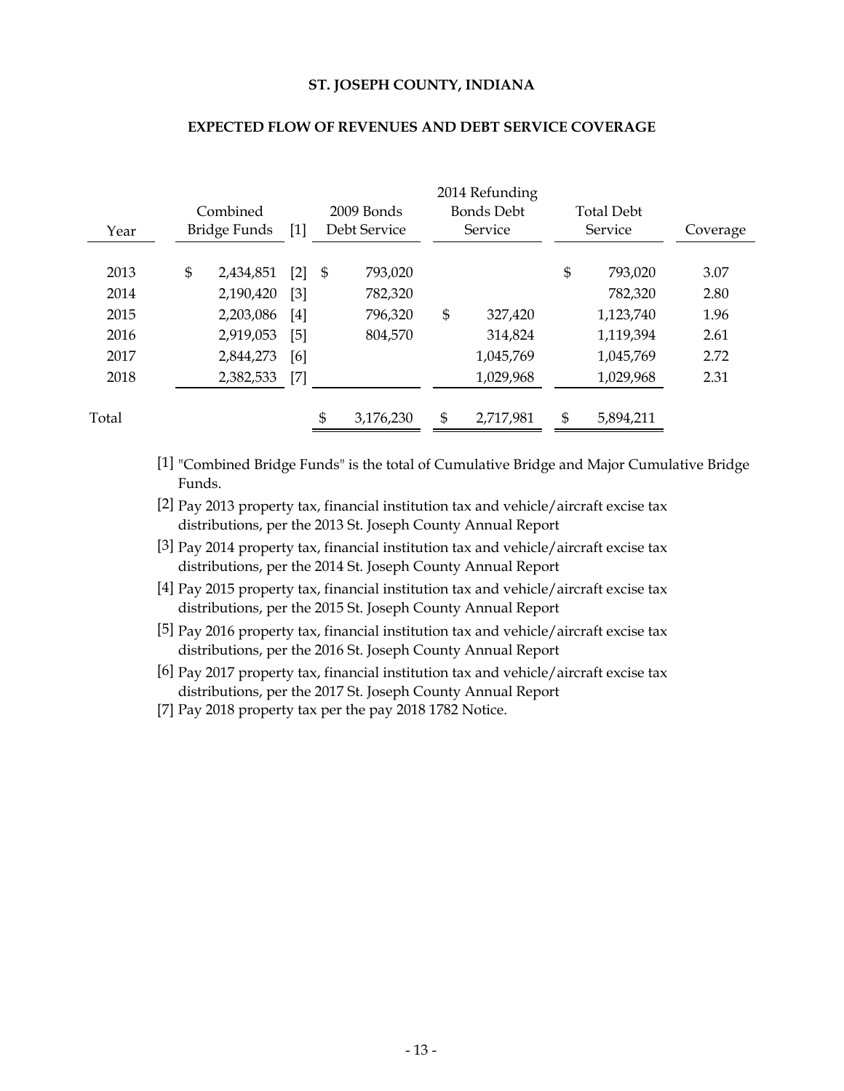| Year  | Combined<br>Bridge Funds | $[1]$             |      | $2009$ Bonds<br>Debt Service | 2014 Refunding<br><b>Bonds Debt</b><br>Service | <b>Total Debt</b><br>Service | Coverage |
|-------|--------------------------|-------------------|------|------------------------------|------------------------------------------------|------------------------------|----------|
|       |                          |                   |      |                              |                                                |                              |          |
| 2013  | \$<br>2,434,851          | $\lceil 2 \rceil$ | - \$ | 793,020                      |                                                | \$<br>793,020                | 3.07     |
| 2014  | 2,190,420                | [3]               |      | 782,320                      |                                                | 782,320                      | 2.80     |
| 2015  | 2,203,086                | [4]               |      | 796,320                      | \$<br>327,420                                  | 1,123,740                    | 1.96     |
| 2016  | 2,919,053                | [5]               |      | 804,570                      | 314,824                                        | 1,119,394                    | 2.61     |
| 2017  | 2,844,273                | [6]               |      |                              | 1,045,769                                      | 1,045,769                    | 2.72     |
| 2018  | 2,382,533                | $[7]$             |      |                              | 1,029,968                                      | 1,029,968                    | 2.31     |
|       |                          |                   |      |                              |                                                |                              |          |
| Total |                          |                   | \$   | 3,176,230                    | \$<br>2,717,981                                | \$<br>5,894,211              |          |

#### **EXPECTED FLOW OF REVENUES AND DEBT SERVICE COVERAGE**

- [1] "Combined Bridge Funds" is the total of Cumulative Bridge and Major Cumulative Bridge Funds.
- [2] Pay 2013 property tax, financial institution tax and vehicle/aircraft excise tax distributions, per the 2013 St. Joseph County Annual Report
- [3] Pay 2014 property tax, financial institution tax and vehicle/aircraft excise tax distributions, per the 2014 St. Joseph County Annual Report
- [4] Pay 2015 property tax, financial institution tax and vehicle/aircraft excise tax distributions, per the 2015 St. Joseph County Annual Report
- [5] Pay 2016 property tax, financial institution tax and vehicle/aircraft excise tax distributions, per the 2016 St. Joseph County Annual Report
- [6] Pay 2017 property tax, financial institution tax and vehicle/aircraft excise tax distributions, per the 2017 St. Joseph County Annual Report
- [7] Pay 2018 property tax per the pay 2018 1782 Notice.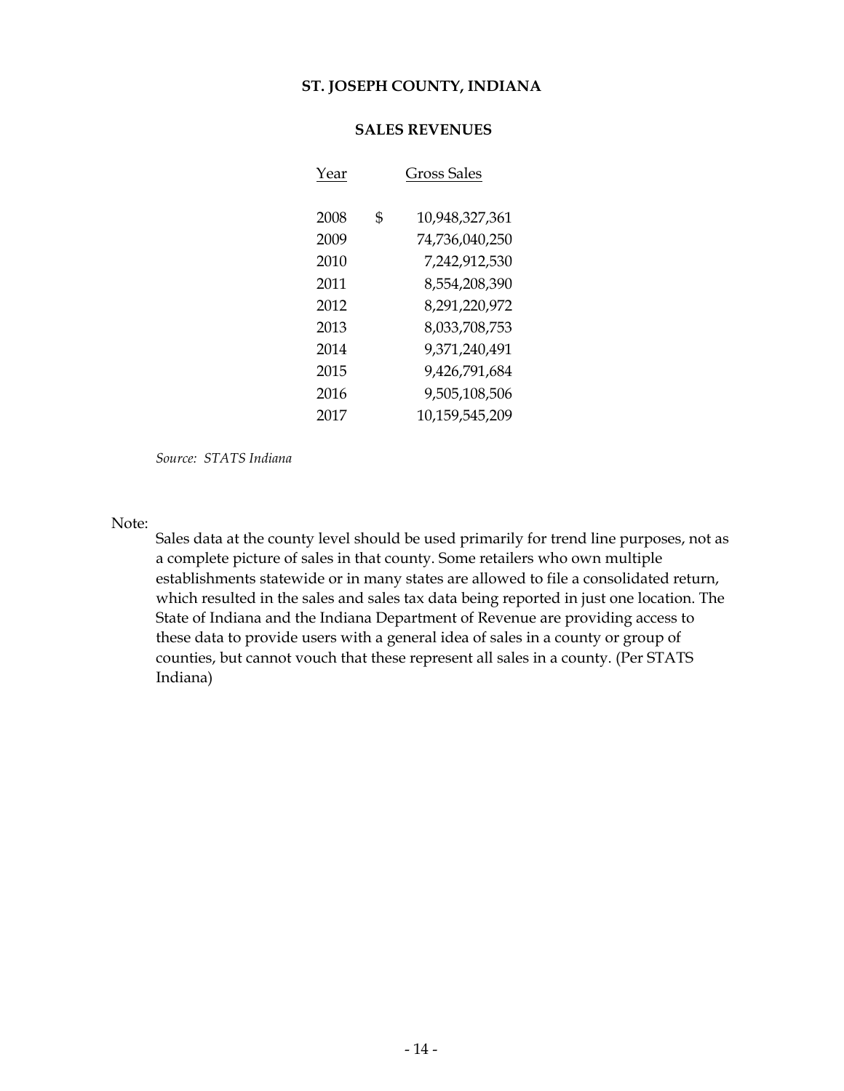# **SALES REVENUES**

| Year | Gross Sales          |
|------|----------------------|
| 2008 | \$<br>10,948,327,361 |
| 2009 | 74,736,040,250       |
| 2010 | 7,242,912,530        |
| 2011 | 8,554,208,390        |
| 2012 | 8,291,220,972        |
| 2013 | 8.033.708.753        |
| 2014 | 9,371,240,491        |
| 2015 | 9,426,791,684        |
| 2016 | 9,505,108,506        |
| 2017 | 10,159,545,209       |

*Source: STATS Indiana*

Note:

Sales data at the county level should be used primarily for trend line purposes, not as a complete picture of sales in that county. Some retailers who own multiple establishments statewide or in many states are allowed to file a consolidated return, which resulted in the sales and sales tax data being reported in just one location. The State of Indiana and the Indiana Department of Revenue are providing access to these data to provide users with a general idea of sales in a county or group of counties, but cannot vouch that these represent all sales in a county. (Per STATS Indiana)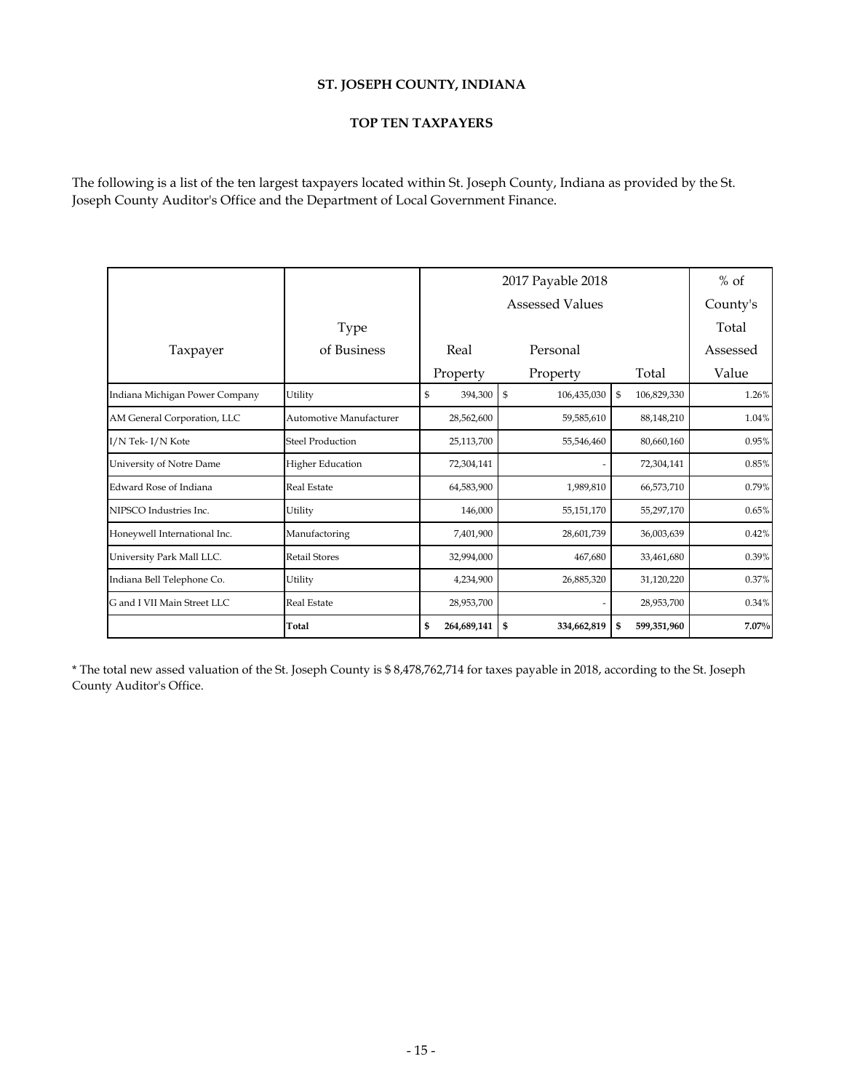# **TOP TEN TAXPAYERS**

The following is a list of the ten largest taxpayers located within St. Joseph County, Indiana as provided by the St. Joseph County Auditor's Office and the Department of Local Government Finance.

|                                |                         |                   | 2017 Payable 2018   |                   |          |  |  |  |
|--------------------------------|-------------------------|-------------------|---------------------|-------------------|----------|--|--|--|
|                                |                         |                   | Assessed Values     |                   | County's |  |  |  |
|                                | <b>Type</b>             |                   |                     |                   | Total    |  |  |  |
| Taxpayer                       | of Business             | Real              | Personal            |                   | Assessed |  |  |  |
|                                |                         | Property          | Property            | Total             | Value    |  |  |  |
| Indiana Michigan Power Company | Utility                 | 394,300<br>\$     | $\$$<br>106,435,030 | 106,829,330<br>\$ | 1.26%    |  |  |  |
| AM General Corporation, LLC    | Automotive Manufacturer | 28,562,600        | 59,585,610          | 88,148,210        | 1.04%    |  |  |  |
| I/N Tek-I/N Kote               | <b>Steel Production</b> | 25,113,700        | 55,546,460          | 80,660,160        | 0.95%    |  |  |  |
| University of Notre Dame       | <b>Higher Education</b> | 72,304,141        |                     | 72,304,141        | 0.85%    |  |  |  |
| Edward Rose of Indiana         | <b>Real Estate</b>      | 64,583,900        | 1,989,810           | 66,573,710        | 0.79%    |  |  |  |
| NIPSCO Industries Inc.         | Utility                 | 146,000           | 55,151,170          | 55,297,170        | 0.65%    |  |  |  |
| Honeywell International Inc.   | Manufactoring           | 7,401,900         | 28,601,739          | 36,003,639        | 0.42%    |  |  |  |
| University Park Mall LLC.      | <b>Retail Stores</b>    | 32,994,000        | 467,680             | 33,461,680        | 0.39%    |  |  |  |
| Indiana Bell Telephone Co.     | Utility                 | 4,234,900         | 26,885,320          | 31,120,220        | 0.37%    |  |  |  |
| G and I VII Main Street LLC    | <b>Real Estate</b>      | 28,953,700        |                     | 28,953,700        | 0.34%    |  |  |  |
|                                | Total                   | 264,689,141<br>\$ | \$<br>334,662,819   | 599,351,960<br>\$ | 7.07%    |  |  |  |

\* The total new assed valuation of the St. Joseph County is \$ 8,478,762,714 for taxes payable in 2018, according to the St. Joseph County Auditor's Office.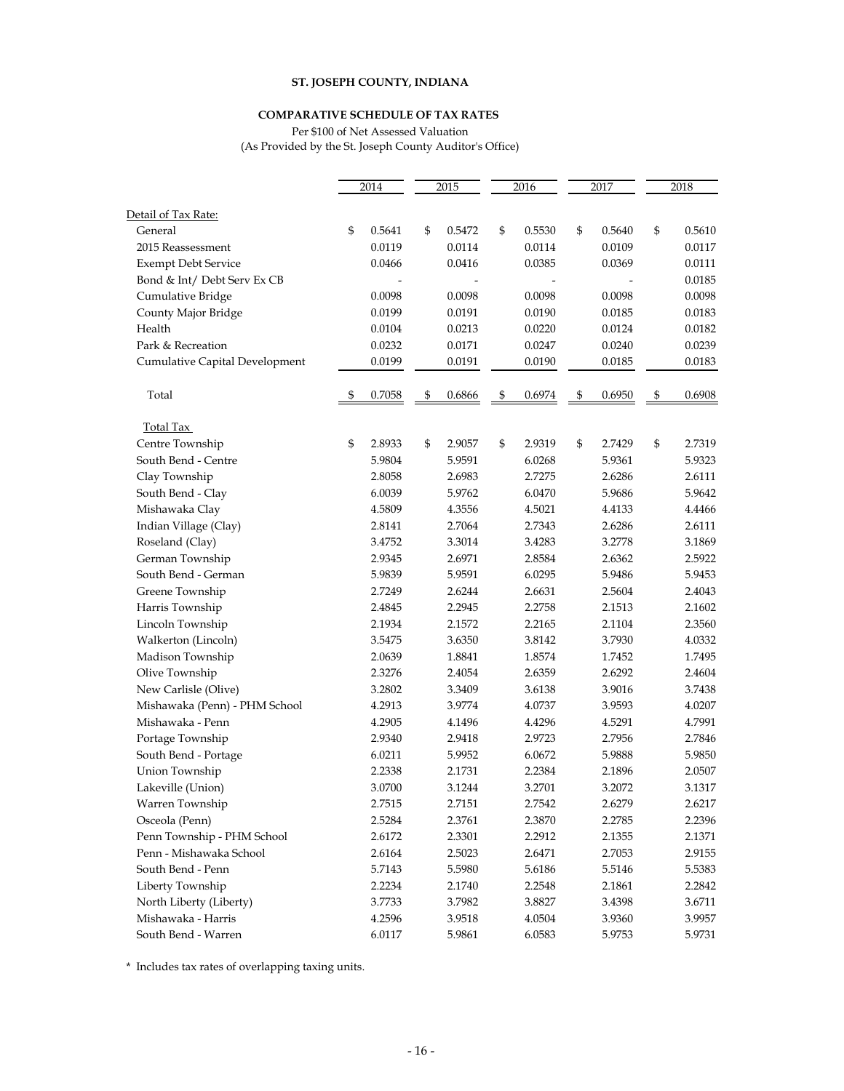#### **COMPARATIVE SCHEDULE OF TAX RATES**

Per \$100 of Net Assessed Valuation (As Provided by the St. Joseph County Auditor's Office)

|                                | 2014 |        | 2015 |        | 2016 |        | 2017 |        | 2018 |        |
|--------------------------------|------|--------|------|--------|------|--------|------|--------|------|--------|
|                                |      |        |      |        |      |        |      |        |      |        |
| Detail of Tax Rate:            |      |        |      |        |      |        |      |        |      |        |
| General                        | \$   | 0.5641 | \$   | 0.5472 | \$   | 0.5530 | \$   | 0.5640 | \$   | 0.5610 |
| 2015 Reassessment              |      | 0.0119 |      | 0.0114 |      | 0.0114 |      | 0.0109 |      | 0.0117 |
| <b>Exempt Debt Service</b>     |      | 0.0466 |      | 0.0416 |      | 0.0385 |      | 0.0369 |      | 0.0111 |
| Bond & Int/ Debt Serv Ex CB    |      |        |      |        |      |        |      |        |      | 0.0185 |
| Cumulative Bridge              |      | 0.0098 |      | 0.0098 |      | 0.0098 |      | 0.0098 |      | 0.0098 |
| County Major Bridge            |      | 0.0199 |      | 0.0191 |      | 0.0190 |      | 0.0185 |      | 0.0183 |
| Health                         |      | 0.0104 |      | 0.0213 |      | 0.0220 |      | 0.0124 |      | 0.0182 |
| Park & Recreation              |      | 0.0232 |      | 0.0171 |      | 0.0247 |      | 0.0240 |      | 0.0239 |
| Cumulative Capital Development |      | 0.0199 |      | 0.0191 |      | 0.0190 |      | 0.0185 |      | 0.0183 |
| Total                          | \$   | 0.7058 | \$   | 0.6866 | \$   | 0.6974 | \$   | 0.6950 | \$   | 0.6908 |
| <b>Total Tax</b>               |      |        |      |        |      |        |      |        |      |        |
| Centre Township                | \$   | 2.8933 | \$   | 2.9057 | \$   | 2.9319 | \$   | 2.7429 | \$   | 2.7319 |
| South Bend - Centre            |      | 5.9804 |      | 5.9591 |      | 6.0268 |      | 5.9361 |      | 5.9323 |
| Clay Township                  |      | 2.8058 |      | 2.6983 |      | 2.7275 |      | 2.6286 |      | 2.6111 |
| South Bend - Clay              |      | 6.0039 |      | 5.9762 |      | 6.0470 |      | 5.9686 |      | 5.9642 |
| Mishawaka Clay                 |      | 4.5809 |      | 4.3556 |      | 4.5021 |      | 4.4133 |      | 4.4466 |
| Indian Village (Clay)          |      | 2.8141 |      | 2.7064 |      | 2.7343 |      | 2.6286 |      | 2.6111 |
| Roseland (Clay)                |      | 3.4752 |      | 3.3014 |      | 3.4283 |      | 3.2778 |      | 3.1869 |
| German Township                |      | 2.9345 |      | 2.6971 |      | 2.8584 |      | 2.6362 |      | 2.5922 |
| South Bend - German            |      | 5.9839 |      | 5.9591 |      | 6.0295 |      | 5.9486 |      | 5.9453 |
| Greene Township                |      | 2.7249 |      | 2.6244 |      | 2.6631 |      | 2.5604 |      | 2.4043 |
| Harris Township                |      | 2.4845 |      | 2.2945 |      | 2.2758 |      | 2.1513 |      | 2.1602 |
| Lincoln Township               |      | 2.1934 |      | 2.1572 |      | 2.2165 |      | 2.1104 |      | 2.3560 |
| Walkerton (Lincoln)            |      | 3.5475 |      | 3.6350 |      | 3.8142 |      | 3.7930 |      | 4.0332 |
| Madison Township               |      | 2.0639 |      | 1.8841 |      | 1.8574 |      | 1.7452 |      | 1.7495 |
| Olive Township                 |      | 2.3276 |      | 2.4054 |      | 2.6359 |      | 2.6292 |      | 2.4604 |
| New Carlisle (Olive)           |      | 3.2802 |      | 3.3409 |      | 3.6138 |      | 3.9016 |      | 3.7438 |
| Mishawaka (Penn) - PHM School  |      | 4.2913 |      | 3.9774 |      | 4.0737 |      | 3.9593 |      | 4.0207 |
| Mishawaka - Penn               |      | 4.2905 |      | 4.1496 |      | 4.4296 |      | 4.5291 |      | 4.7991 |
| Portage Township               |      | 2.9340 |      | 2.9418 |      | 2.9723 |      | 2.7956 |      | 2.7846 |
| South Bend - Portage           |      | 6.0211 |      | 5.9952 |      | 6.0672 |      | 5.9888 |      | 5.9850 |
| Union Township                 |      | 2.2338 |      | 2.1731 |      | 2.2384 |      | 2.1896 |      | 2.0507 |
| Lakeville (Union)              |      | 3.0700 |      | 3.1244 |      | 3.2701 |      | 3.2072 |      | 3.1317 |
| Warren Township                |      | 2.7515 |      | 2.7151 |      | 2.7542 |      | 2.6279 |      | 2.6217 |
| Osceola (Penn)                 |      | 2.5284 |      | 2.3761 |      | 2.3870 |      | 2.2785 |      | 2.2396 |
| Penn Township - PHM School     |      | 2.6172 |      | 2.3301 |      | 2.2912 |      | 2.1355 |      | 2.1371 |
| Penn - Mishawaka School        |      | 2.6164 |      | 2.5023 |      | 2.6471 |      | 2.7053 |      | 2.9155 |
| South Bend - Penn              |      | 5.7143 |      | 5.5980 |      | 5.6186 |      | 5.5146 |      | 5.5383 |
| Liberty Township               |      | 2.2234 |      | 2.1740 |      | 2.2548 |      | 2.1861 |      | 2.2842 |
| North Liberty (Liberty)        |      | 3.7733 |      | 3.7982 |      | 3.8827 |      | 3.4398 |      | 3.6711 |
| Mishawaka - Harris             |      | 4.2596 |      | 3.9518 |      | 4.0504 |      | 3.9360 |      | 3.9957 |
| South Bend - Warren            |      | 6.0117 |      | 5.9861 |      | 6.0583 |      | 5.9753 |      | 5.9731 |

\* Includes tax rates of overlapping taxing units.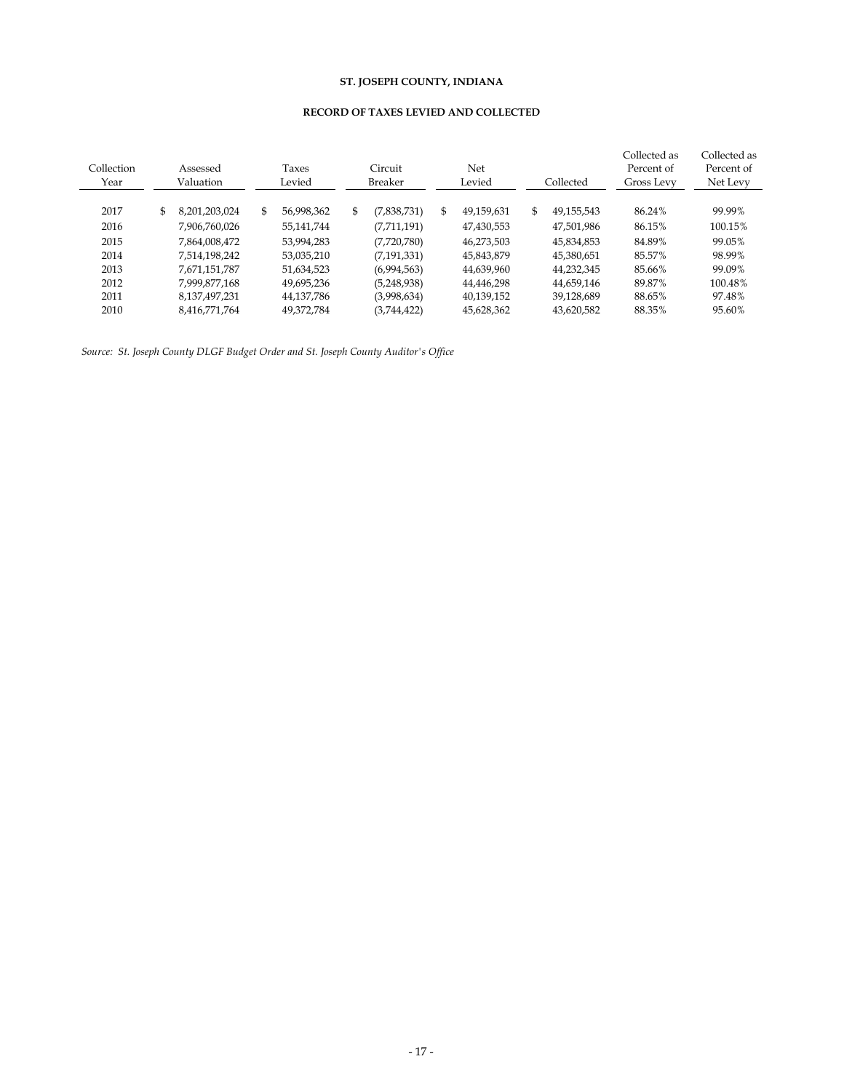### **RECORD OF TAXES LEVIED AND COLLECTED**

| Collection<br>Year | Assessed<br>Valuation | Taxes<br>Levied  | Circuit<br><b>Breaker</b> | Net<br>Levied    | Collected        | Collected as<br>Percent of<br>Gross Levy | Collected as<br>Percent of<br>Net Levy |
|--------------------|-----------------------|------------------|---------------------------|------------------|------------------|------------------------------------------|----------------------------------------|
| 2017               | \$<br>8,201,203,024   | \$<br>56,998,362 | \$<br>(7,838,731)         | \$<br>49.159.631 | \$<br>49.155.543 | 86.24%                                   | 99.99%                                 |
| 2016               | 7,906,760,026         | 55,141,744       | (7,711,191)               | 47,430,553       | 47,501,986       | 86.15%                                   | 100.15%                                |
| 2015               | 7,864,008,472         | 53,994,283       | (7,720,780)               | 46,273,503       | 45,834,853       | 84.89%                                   | 99.05%                                 |
| 2014               | 7,514,198,242         | 53,035,210       | (7, 191, 331)             | 45,843,879       | 45,380,651       | 85.57%                                   | 98.99%                                 |
| 2013               | 7,671,151,787         | 51,634,523       | (6,994,563)               | 44,639,960       | 44,232,345       | 85.66%                                   | 99.09%                                 |
| 2012               | 7.999.877.168         | 49,695,236       | (5,248,938)               | 44,446,298       | 44,659,146       | 89.87%                                   | 100.48%                                |
| 2011               | 8,137,497,231         | 44,137,786       | (3,998,634)               | 40,139,152       | 39,128,689       | 88.65%                                   | 97.48%                                 |
| 2010               | 8.416.771.764         | 49.372.784       | (3,744,422)               | 45,628,362       | 43,620,582       | 88.35%                                   | 95.60%                                 |

*Source: St. Joseph County DLGF Budget Order and St. Joseph County Auditor's Office*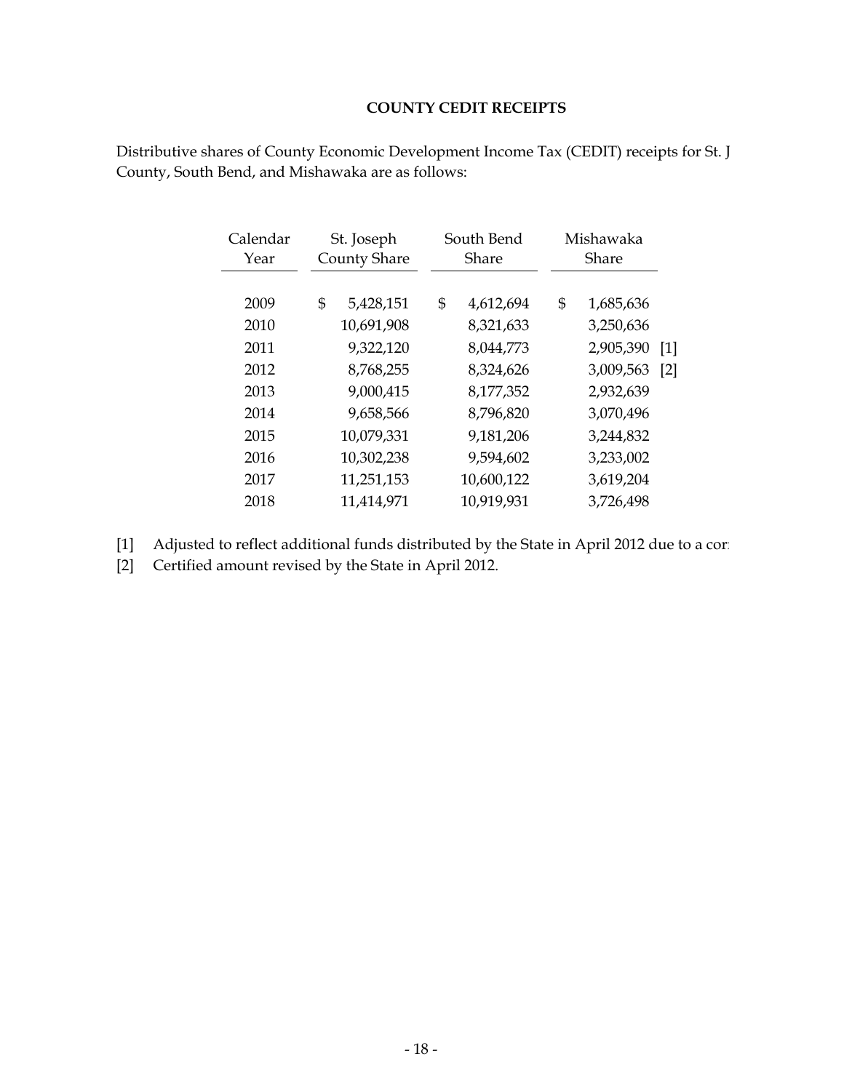# **COUNTY CEDIT RECEIPTS**

| Calendar<br>Year | St. Joseph<br><b>County Share</b> |  | South Bend<br>Share |            | Mishawaka<br>Share |           |                   |
|------------------|-----------------------------------|--|---------------------|------------|--------------------|-----------|-------------------|
|                  |                                   |  |                     |            |                    |           |                   |
| 2009             | \$<br>5,428,151                   |  | \$                  | 4,612,694  | \$                 | 1,685,636 |                   |
| 2010             | 10,691,908                        |  |                     | 8,321,633  |                    | 3,250,636 |                   |
| 2011             | 9,322,120                         |  |                     | 8,044,773  |                    | 2,905,390 | $\lceil 1 \rceil$ |
| 2012             | 8,768,255                         |  |                     | 8,324,626  |                    | 3,009,563 | [2]               |
| 2013             | 9,000,415                         |  |                     | 8,177,352  |                    | 2,932,639 |                   |
| 2014             | 9,658,566                         |  |                     | 8,796,820  |                    | 3,070,496 |                   |
| 2015             | 10,079,331                        |  |                     | 9,181,206  |                    | 3,244,832 |                   |
| 2016             | 10,302,238                        |  |                     | 9,594,602  |                    | 3,233,002 |                   |
| 2017             | 11,251,153                        |  |                     | 10,600,122 |                    | 3,619,204 |                   |
| 2018             | 11,414,971                        |  |                     | 10,919,931 |                    | 3,726,498 |                   |

Distributive shares of County Economic Development Income Tax (CEDIT) receipts for St. J County, South Bend, and Mishawaka are as follows:

[1] Adjusted to reflect additional funds distributed by the State in April 2012 due to a corre

[2] Certified amount revised by the State in April 2012.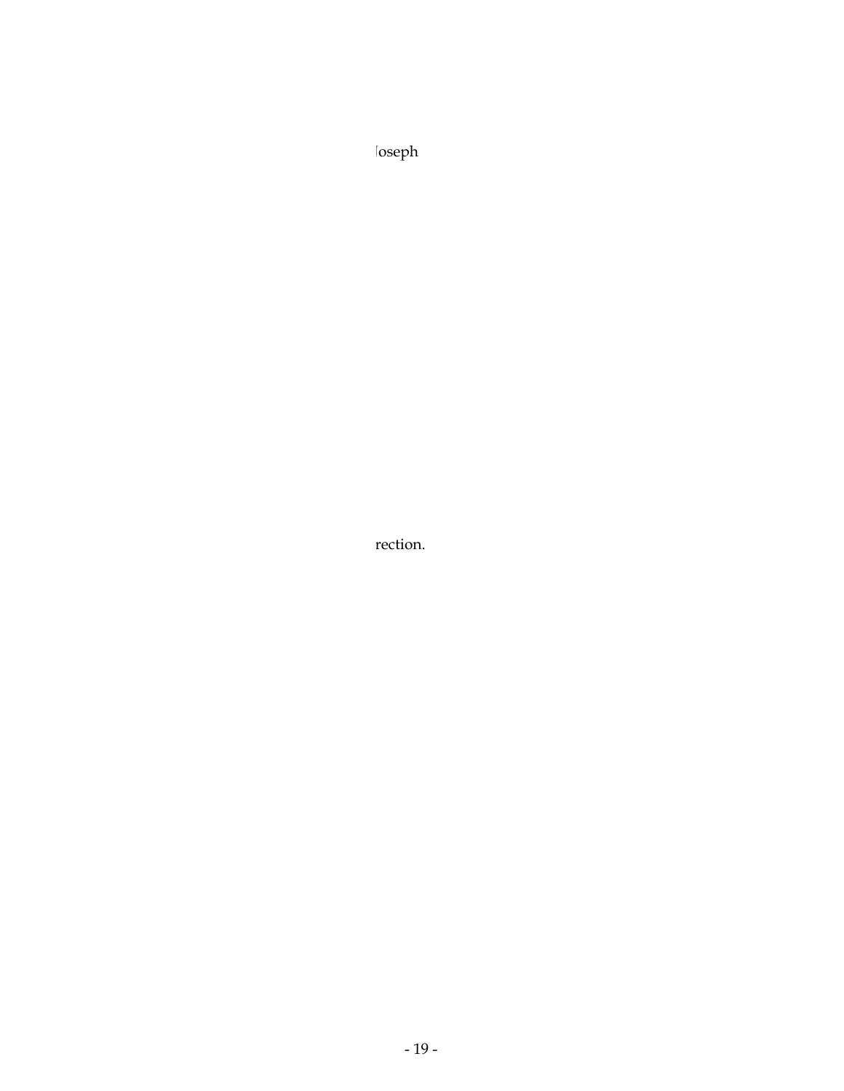Distributive shares of County Economic Development Income Tax (CEDIT) receipts for St. Joseph

Adjusted to reflect additional funds distributed by the State in April 2012 due to a correction.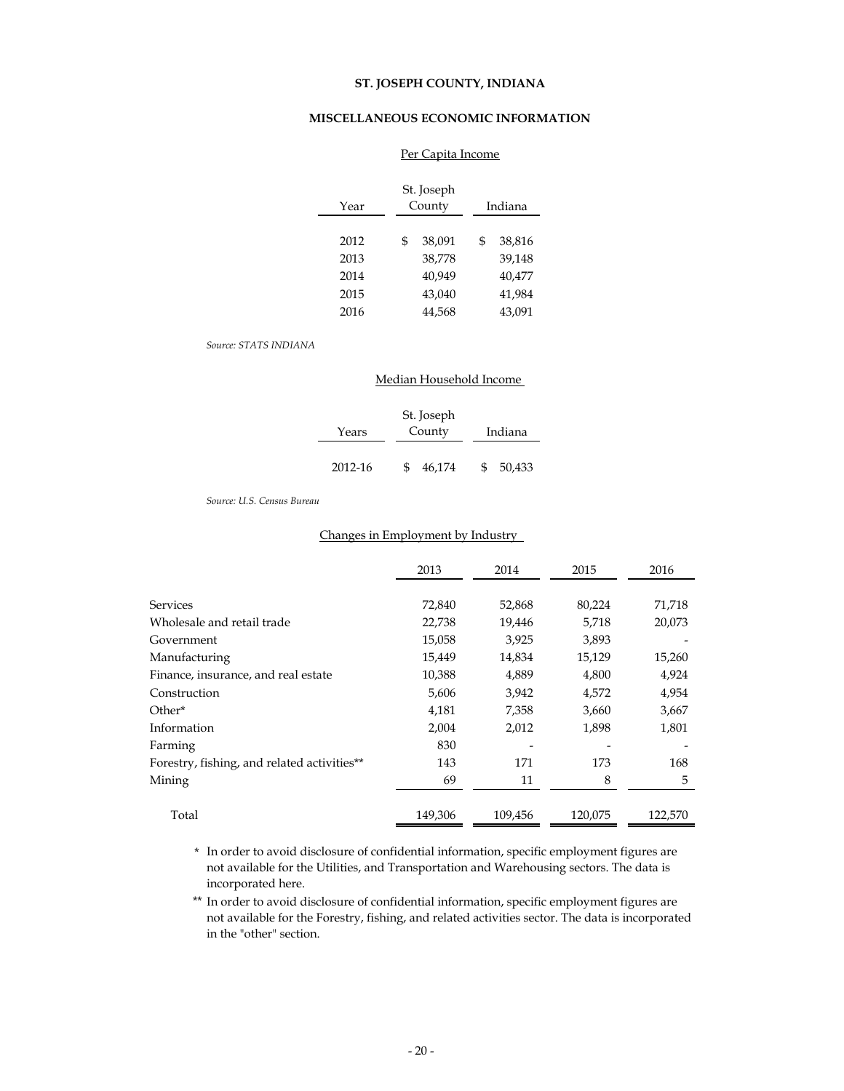#### **MISCELLANEOUS ECONOMIC INFORMATION**

| Year | St. Joseph<br>County | Indiana      |
|------|----------------------|--------------|
|      |                      |              |
| 2012 | \$<br>38,091         | \$<br>38,816 |
| 2013 | 38.778               | 39.148       |
| 2014 | 40,949               | 40,477       |
| 2015 | 43,040               | 41.984       |
| 2016 | 44,568               | 43.091       |

#### Per Capita Income

#### *Source: STATS INDIANA*

|         | Median Household Income |             |  |  |  |  |  |  |
|---------|-------------------------|-------------|--|--|--|--|--|--|
| Years   | St. Joseph<br>County    | Indiana     |  |  |  |  |  |  |
|         |                         |             |  |  |  |  |  |  |
| 2012-16 | 46,174                  | 50,433<br>S |  |  |  |  |  |  |

#### *Source: U.S. Census Bureau*

#### Changes in Employment by Industry

|                                             | 2013    | 2014    | 2015    | 2016    |
|---------------------------------------------|---------|---------|---------|---------|
| <b>Services</b>                             | 72,840  | 52,868  | 80,224  | 71,718  |
| Wholesale and retail trade                  | 22,738  | 19,446  | 5,718   | 20,073  |
| Government                                  | 15,058  | 3,925   | 3,893   |         |
| Manufacturing                               | 15,449  | 14,834  | 15,129  | 15,260  |
| Finance, insurance, and real estate         | 10,388  | 4,889   | 4,800   | 4,924   |
| Construction                                | 5,606   | 3,942   | 4,572   | 4,954   |
| Other*                                      | 4,181   | 7,358   | 3,660   | 3,667   |
| Information                                 | 2,004   | 2,012   | 1,898   | 1,801   |
| Farming                                     | 830     |         |         |         |
| Forestry, fishing, and related activities** | 143     | 171     | 173     | 168     |
| Mining                                      | 69      | 11      | 8       | 5       |
| Total                                       | 149,306 | 109.456 | 120,075 | 122.570 |

\* In order to avoid disclosure of confidential information, specific employment figures are not available for the Utilities, and Transportation and Warehousing sectors. The data is incorporated here.

\*\* In order to avoid disclosure of confidential information, specific employment figures are not available for the Forestry, fishing, and related activities sector. The data is incorporated in the "other" section.